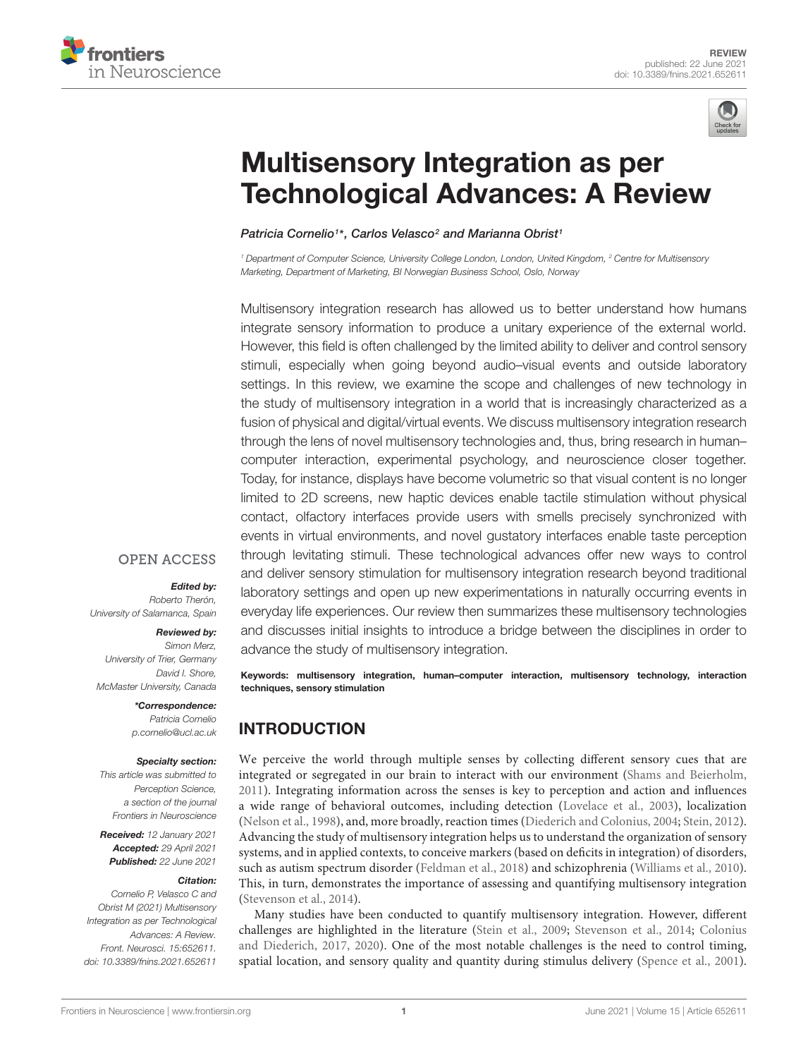



# Multisensory Integration as per [Technological Advances: A Review](https://www.frontiersin.org/articles/10.3389/fnins.2021.652611/full)

Patricia Cornelio1\*, Carlos Velasco<sup>2</sup> and Marianna Obrist1

<sup>1</sup> Department of Computer Science, University College London, London, United Kingdom, <sup>2</sup> Centre for Multisensory Marketing, Department of Marketing, BI Norwegian Business School, Oslo, Norway

Multisensory integration research has allowed us to better understand how humans integrate sensory information to produce a unitary experience of the external world. However, this field is often challenged by the limited ability to deliver and control sensory stimuli, especially when going beyond audio–visual events and outside laboratory settings. In this review, we examine the scope and challenges of new technology in the study of multisensory integration in a world that is increasingly characterized as a fusion of physical and digital/virtual events. We discuss multisensory integration research through the lens of novel multisensory technologies and, thus, bring research in human– computer interaction, experimental psychology, and neuroscience closer together. Today, for instance, displays have become volumetric so that visual content is no longer limited to 2D screens, new haptic devices enable tactile stimulation without physical contact, olfactory interfaces provide users with smells precisely synchronized with events in virtual environments, and novel gustatory interfaces enable taste perception through levitating stimuli. These technological advances offer new ways to control and deliver sensory stimulation for multisensory integration research beyond traditional laboratory settings and open up new experimentations in naturally occurring events in everyday life experiences. Our review then summarizes these multisensory technologies and discusses initial insights to introduce a bridge between the disciplines in order to advance the study of multisensory integration.

Keywords: multisensory integration, human–computer interaction, multisensory technology, interaction techniques, sensory stimulation

# INTRODUCTION

We perceive the world through multiple senses by collecting different sensory cues that are integrated or segregated in our brain to interact with our environment [\(Shams and Beierholm,](#page-12-0) [2011\)](#page-12-0). Integrating information across the senses is key to perception and action and influences a wide range of behavioral outcomes, including detection [\(Lovelace et al.,](#page-10-0) [2003\)](#page-10-0), localization [\(Nelson et al.,](#page-11-0) [1998\)](#page-11-0), and, more broadly, reaction times [\(Diederich and Colonius,](#page-9-0) [2004;](#page-9-0) [Stein,](#page-12-1) [2012\)](#page-12-1). Advancing the study of multisensory integration helps us to understand the organization of sensory systems, and in applied contexts, to conceive markers (based on deficits in integration) of disorders, such as autism spectrum disorder [\(Feldman et al.,](#page-9-1) [2018\)](#page-9-1) and schizophrenia [\(Williams et al.,](#page-13-0) [2010\)](#page-13-0). This, in turn, demonstrates the importance of assessing and quantifying multisensory integration [\(Stevenson et al.,](#page-12-2) [2014\)](#page-12-2).

Many studies have been conducted to quantify multisensory integration. However, different challenges are highlighted in the literature [\(Stein et al.,](#page-12-3) [2009;](#page-12-3) [Stevenson et al.,](#page-12-2) [2014;](#page-12-2) [Colonius](#page-9-2) [and Diederich,](#page-9-2) [2017,](#page-9-2) [2020\)](#page-9-3). One of the most notable challenges is the need to control timing, spatial location, and sensory quality and quantity during stimulus delivery [\(Spence et al.,](#page-12-4) [2001\)](#page-12-4).

## **OPEN ACCESS**

#### Edited by:

Roberto Therón, University of Salamanca, Spain

#### Reviewed by:

Simon Merz, University of Trier, Germany David I. Shore, McMaster University, Canada

### \*Correspondence:

Patricia Cornelio p.cornelio@ucl.ac.uk

#### Specialty section:

This article was submitted to Perception Science, a section of the journal Frontiers in Neuroscience

Received: 12 January 2021 Accepted: 29 April 2021 Published: 22 June 2021

#### Citation:

Cornelio P, Velasco C and Obrist M (2021) Multisensory Integration as per Technological Advances: A Review. Front. Neurosci. 15:652611. doi: [10.3389/fnins.2021.652611](https://doi.org/10.3389/fnins.2021.652611)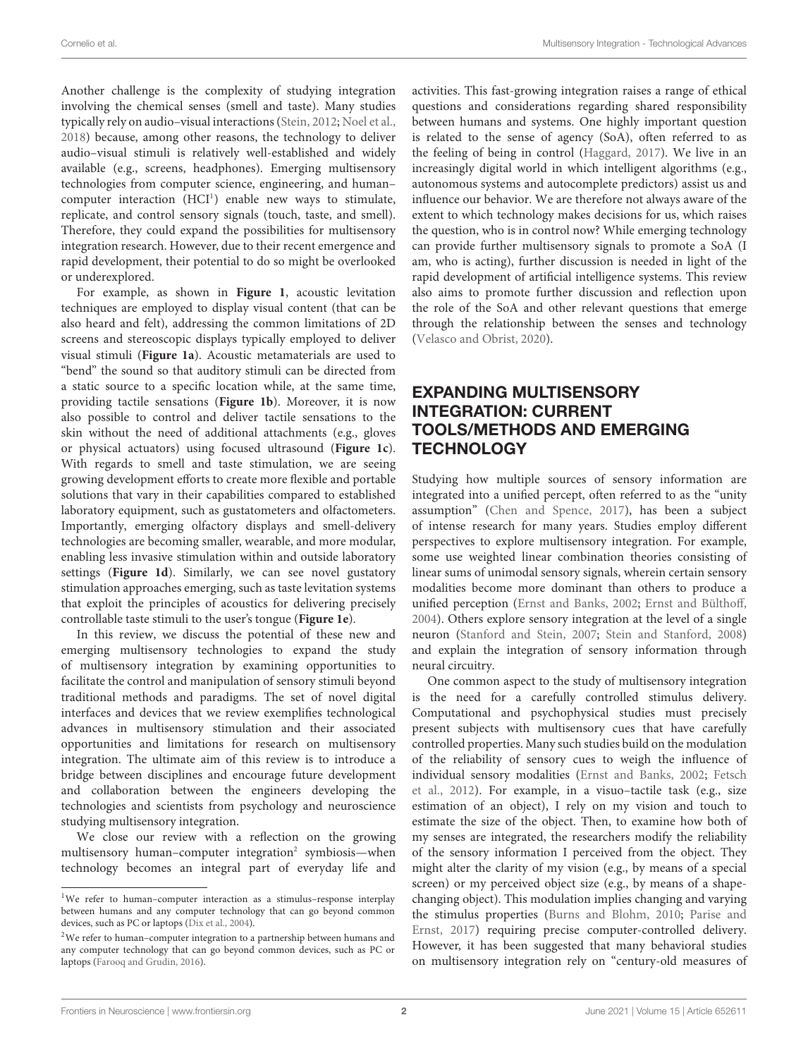Another challenge is the complexity of studying integration involving the chemical senses (smell and taste). Many studies typically rely on audio–visual interactions [\(Stein,](#page-12-1) [2012;](#page-12-1) [Noel et al.,](#page-11-1) [2018\)](#page-11-1) because, among other reasons, the technology to deliver audio–visual stimuli is relatively well-established and widely available (e.g., screens, headphones). Emerging multisensory technologies from computer science, engineering, and human– computer interaction (HCI<sup>[1](#page-1-0)</sup>) enable new ways to stimulate, replicate, and control sensory signals (touch, taste, and smell). Therefore, they could expand the possibilities for multisensory integration research. However, due to their recent emergence and rapid development, their potential to do so might be overlooked or underexplored.

For example, as shown in **[Figure 1](#page-2-0)**, acoustic levitation techniques are employed to display visual content (that can be also heard and felt), addressing the common limitations of 2D screens and stereoscopic displays typically employed to deliver visual stimuli (**[Figure 1a](#page-2-0)**). Acoustic metamaterials are used to "bend" the sound so that auditory stimuli can be directed from a static source to a specific location while, at the same time, providing tactile sensations (**[Figure 1b](#page-2-0)**). Moreover, it is now also possible to control and deliver tactile sensations to the skin without the need of additional attachments (e.g., gloves or physical actuators) using focused ultrasound (**[Figure 1c](#page-2-0)**). With regards to smell and taste stimulation, we are seeing growing development efforts to create more flexible and portable solutions that vary in their capabilities compared to established laboratory equipment, such as gustatometers and olfactometers. Importantly, emerging olfactory displays and smell-delivery technologies are becoming smaller, wearable, and more modular, enabling less invasive stimulation within and outside laboratory settings (**[Figure 1d](#page-2-0)**). Similarly, we can see novel gustatory stimulation approaches emerging, such as taste levitation systems that exploit the principles of acoustics for delivering precisely controllable taste stimuli to the user's tongue (**[Figure 1e](#page-2-0)**).

In this review, we discuss the potential of these new and emerging multisensory technologies to expand the study of multisensory integration by examining opportunities to facilitate the control and manipulation of sensory stimuli beyond traditional methods and paradigms. The set of novel digital interfaces and devices that we review exemplifies technological advances in multisensory stimulation and their associated opportunities and limitations for research on multisensory integration. The ultimate aim of this review is to introduce a bridge between disciplines and encourage future development and collaboration between the engineers developing the technologies and scientists from psychology and neuroscience studying multisensory integration.

We close our review with a reflection on the growing multisensory human-computer integration<sup>[2](#page-1-1)</sup> symbiosis-when technology becomes an integral part of everyday life and activities. This fast-growing integration raises a range of ethical questions and considerations regarding shared responsibility between humans and systems. One highly important question is related to the sense of agency (SoA), often referred to as the feeling of being in control [\(Haggard,](#page-10-1) [2017\)](#page-10-1). We live in an increasingly digital world in which intelligent algorithms (e.g., autonomous systems and autocomplete predictors) assist us and influence our behavior. We are therefore not always aware of the extent to which technology makes decisions for us, which raises the question, who is in control now? While emerging technology can provide further multisensory signals to promote a SoA (I am, who is acting), further discussion is needed in light of the rapid development of artificial intelligence systems. This review also aims to promote further discussion and reflection upon the role of the SoA and other relevant questions that emerge through the relationship between the senses and technology [\(Velasco and Obrist,](#page-13-1) [2020\)](#page-13-1).

# EXPANDING MULTISENSORY INTEGRATION: CURRENT TOOLS/METHODS AND EMERGING **TECHNOLOGY**

Studying how multiple sources of sensory information are integrated into a unified percept, often referred to as the "unity assumption" [\(Chen and Spence,](#page-9-6) [2017\)](#page-9-6), has been a subject of intense research for many years. Studies employ different perspectives to explore multisensory integration. For example, some use weighted linear combination theories consisting of linear sums of unimodal sensory signals, wherein certain sensory modalities become more dominant than others to produce a unified perception [\(Ernst and Banks,](#page-9-7) [2002;](#page-9-7) [Ernst and Bülthoff,](#page-9-8) [2004\)](#page-9-8). Others explore sensory integration at the level of a single neuron [\(Stanford and Stein,](#page-12-5) [2007;](#page-12-5) [Stein and Stanford,](#page-12-6) [2008\)](#page-12-6) and explain the integration of sensory information through neural circuitry.

One common aspect to the study of multisensory integration is the need for a carefully controlled stimulus delivery. Computational and psychophysical studies must precisely present subjects with multisensory cues that have carefully controlled properties. Many such studies build on the modulation of the reliability of sensory cues to weigh the influence of individual sensory modalities [\(Ernst and Banks,](#page-9-7) [2002;](#page-9-7) [Fetsch](#page-9-9) [et al.,](#page-9-9) [2012\)](#page-9-9). For example, in a visuo–tactile task (e.g., size estimation of an object), I rely on my vision and touch to estimate the size of the object. Then, to examine how both of my senses are integrated, the researchers modify the reliability of the sensory information I perceived from the object. They might alter the clarity of my vision (e.g., by means of a special screen) or my perceived object size (e.g., by means of a shapechanging object). This modulation implies changing and varying the stimulus properties [\(Burns and Blohm,](#page-9-10) [2010;](#page-9-10) [Parise and](#page-11-2) [Ernst,](#page-11-2) [2017\)](#page-11-2) requiring precise computer-controlled delivery. However, it has been suggested that many behavioral studies on multisensory integration rely on "century-old measures of

<span id="page-1-0"></span><sup>&</sup>lt;sup>1</sup>We refer to human-computer interaction as a stimulus-response interplay between humans and any computer technology that can go beyond common devices, such as PC or laptops [\(Dix et al.,](#page-9-4) [2004\)](#page-9-4).

<span id="page-1-1"></span><sup>2</sup>We refer to human–computer integration to a partnership between humans and any computer technology that can go beyond common devices, such as PC or laptops [\(Farooq and Grudin,](#page-9-5) [2016\)](#page-9-5).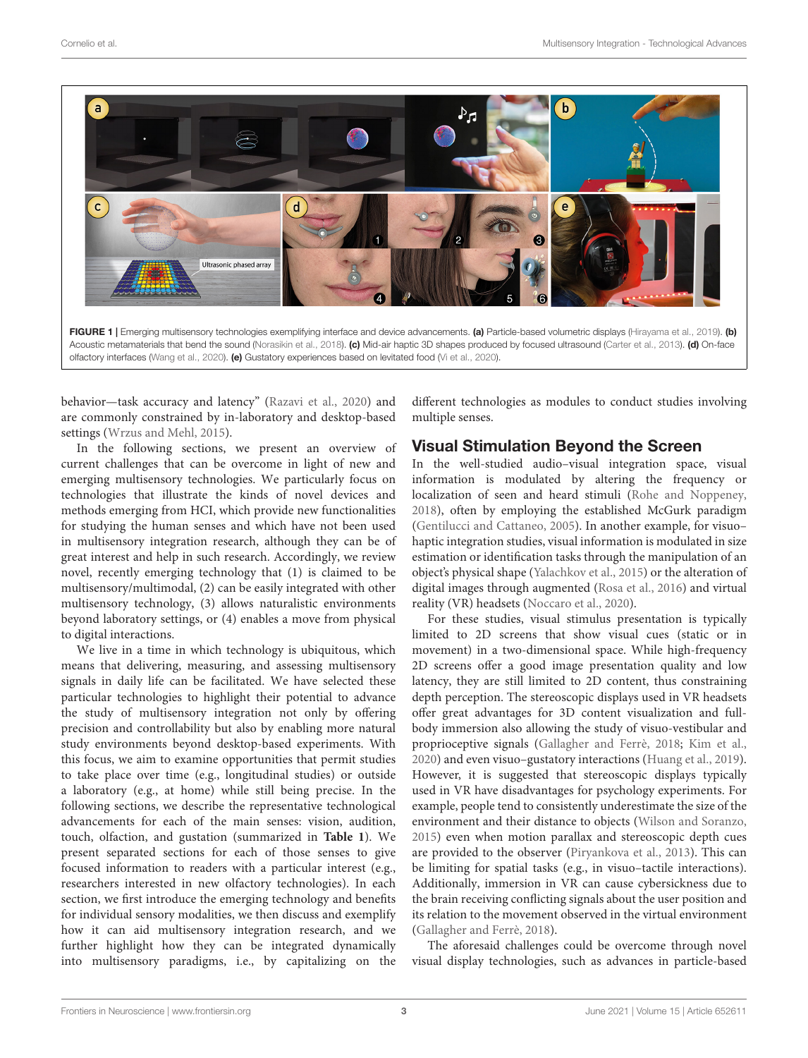

<span id="page-2-0"></span>behavior—task accuracy and latency" [\(Razavi et al.,](#page-12-7) [2020\)](#page-12-7) and are commonly constrained by in-laboratory and desktop-based settings [\(Wrzus and Mehl,](#page-13-4) [2015\)](#page-13-4).

In the following sections, we present an overview of current challenges that can be overcome in light of new and emerging multisensory technologies. We particularly focus on technologies that illustrate the kinds of novel devices and methods emerging from HCI, which provide new functionalities for studying the human senses and which have not been used in multisensory integration research, although they can be of great interest and help in such research. Accordingly, we review novel, recently emerging technology that (1) is claimed to be multisensory/multimodal, (2) can be easily integrated with other multisensory technology, (3) allows naturalistic environments beyond laboratory settings, or (4) enables a move from physical to digital interactions.

We live in a time in which technology is ubiquitous, which means that delivering, measuring, and assessing multisensory signals in daily life can be facilitated. We have selected these particular technologies to highlight their potential to advance the study of multisensory integration not only by offering precision and controllability but also by enabling more natural study environments beyond desktop-based experiments. With this focus, we aim to examine opportunities that permit studies to take place over time (e.g., longitudinal studies) or outside a laboratory (e.g., at home) while still being precise. In the following sections, we describe the representative technological advancements for each of the main senses: vision, audition, touch, olfaction, and gustation (summarized in **[Table 1](#page-3-0)**). We present separated sections for each of those senses to give focused information to readers with a particular interest (e.g., researchers interested in new olfactory technologies). In each section, we first introduce the emerging technology and benefits for individual sensory modalities, we then discuss and exemplify how it can aid multisensory integration research, and we further highlight how they can be integrated dynamically into multisensory paradigms, i.e., by capitalizing on the different technologies as modules to conduct studies involving multiple senses.

## Visual Stimulation Beyond the Screen

In the well-studied audio–visual integration space, visual information is modulated by altering the frequency or localization of seen and heard stimuli [\(Rohe and Noppeney,](#page-12-8) [2018\)](#page-12-8), often by employing the established McGurk paradigm [\(Gentilucci and Cattaneo,](#page-10-3) [2005\)](#page-10-3). In another example, for visuo– haptic integration studies, visual information is modulated in size estimation or identification tasks through the manipulation of an object's physical shape [\(Yalachkov et al.,](#page-13-5) [2015\)](#page-13-5) or the alteration of digital images through augmented [\(Rosa et al.,](#page-12-9) [2016\)](#page-12-9) and virtual reality (VR) headsets [\(Noccaro et al.,](#page-11-4) [2020\)](#page-11-4).

For these studies, visual stimulus presentation is typically limited to 2D screens that show visual cues (static or in movement) in a two-dimensional space. While high-frequency 2D screens offer a good image presentation quality and low latency, they are still limited to 2D content, thus constraining depth perception. The stereoscopic displays used in VR headsets offer great advantages for 3D content visualization and fullbody immersion also allowing the study of visuo-vestibular and proprioceptive signals [\(Gallagher and Ferrè,](#page-10-4) [2018;](#page-10-4) [Kim et al.,](#page-10-5) [2020\)](#page-10-5) and even visuo–gustatory interactions [\(Huang et al.,](#page-10-6) [2019\)](#page-10-6). However, it is suggested that stereoscopic displays typically used in VR have disadvantages for psychology experiments. For example, people tend to consistently underestimate the size of the environment and their distance to objects [\(Wilson and Soranzo,](#page-13-6) [2015\)](#page-13-6) even when motion parallax and stereoscopic depth cues are provided to the observer [\(Piryankova et al.,](#page-11-5) [2013\)](#page-11-5). This can be limiting for spatial tasks (e.g., in visuo–tactile interactions). Additionally, immersion in VR can cause cybersickness due to the brain receiving conflicting signals about the user position and its relation to the movement observed in the virtual environment [\(Gallagher and Ferrè,](#page-10-4) [2018\)](#page-10-4).

The aforesaid challenges could be overcome through novel visual display technologies, such as advances in particle-based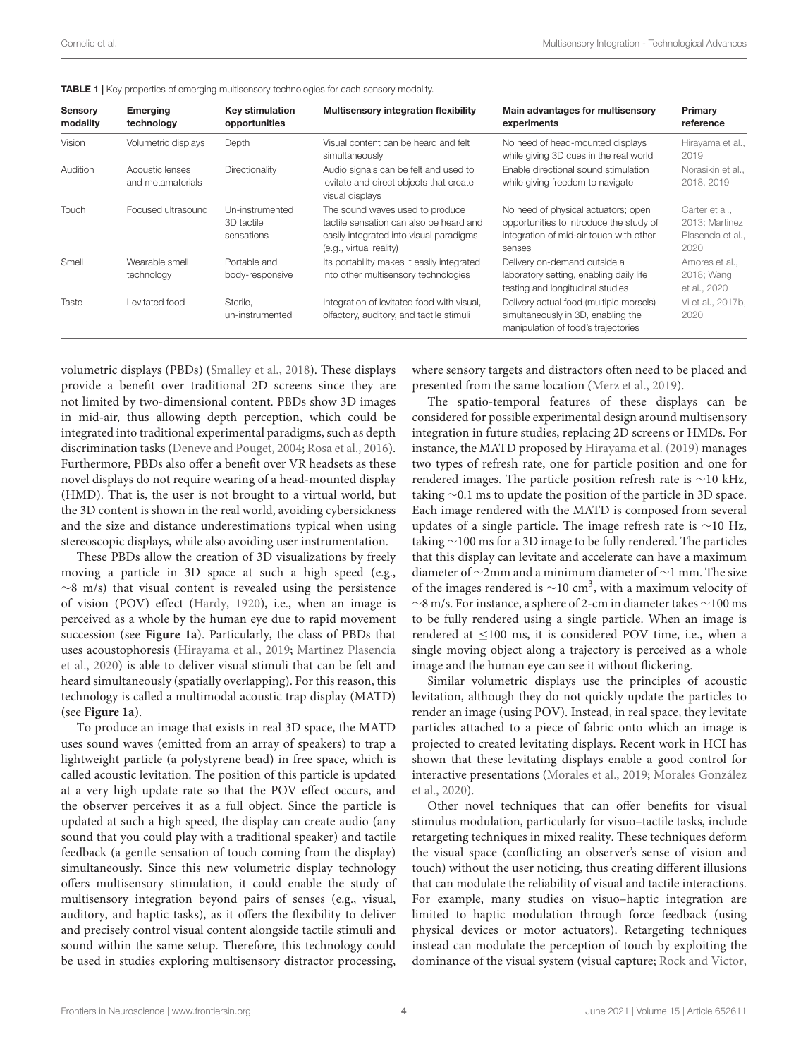| Sensory<br>modality | <b>Emerging</b><br>technology        | Key stimulation<br>opportunities            | <b>Multisensory integration flexibility</b>                                                                                                      | Main advantages for multisensory<br>experiments                                                                                     | Primary<br>reference                                        |
|---------------------|--------------------------------------|---------------------------------------------|--------------------------------------------------------------------------------------------------------------------------------------------------|-------------------------------------------------------------------------------------------------------------------------------------|-------------------------------------------------------------|
| Vision              | Volumetric displays                  | Depth                                       | Visual content can be heard and felt<br>simultaneously                                                                                           | No need of head-mounted displays<br>while giving 3D cues in the real world                                                          | Hirayama et al.,<br>2019                                    |
| Audition            | Acoustic lenses<br>and metamaterials | Directionality                              | Audio signals can be felt and used to<br>levitate and direct objects that create<br>visual displays                                              | Enable directional sound stimulation<br>while giving freedom to navigate                                                            | Norasikin et al.,<br>2018, 2019                             |
| Touch               | Focused ultrasound                   | Un-instrumented<br>3D tactile<br>sensations | The sound waves used to produce<br>tactile sensation can also be heard and<br>easily integrated into visual paradigms<br>(e.g., virtual reality) | No need of physical actuators; open<br>opportunities to introduce the study of<br>integration of mid-air touch with other<br>senses | Carter et al<br>2013; Martinez<br>Plasencia et al.,<br>2020 |
| Smell               | Wearable smell<br>technology         | Portable and<br>body-responsive             | Its portability makes it easily integrated<br>into other multisensory technologies                                                               | Delivery on-demand outside a<br>laboratory setting, enabling daily life<br>testing and longitudinal studies                         | Amores et al<br>2018; Wang<br>et al., 2020                  |
| Taste               | Levitated food                       | Sterile.<br>un-instrumented                 | Integration of levitated food with visual,<br>olfactory, auditory, and tactile stimuli                                                           | Delivery actual food (multiple morsels)<br>simultaneously in 3D, enabling the<br>manipulation of food's trajectories                | Vi et al., 2017b,<br>2020                                   |

<span id="page-3-0"></span>TABLE 1 | Key properties of emerging multisensory technologies for each sensory modality.

volumetric displays (PBDs) [\(Smalley et al.,](#page-12-10) [2018\)](#page-12-10). These displays provide a benefit over traditional 2D screens since they are not limited by two-dimensional content. PBDs show 3D images in mid-air, thus allowing depth perception, which could be integrated into traditional experimental paradigms, such as depth discrimination tasks [\(Deneve and Pouget,](#page-9-13) [2004;](#page-9-13) [Rosa et al.,](#page-12-9) [2016\)](#page-12-9). Furthermore, PBDs also offer a benefit over VR headsets as these novel displays do not require wearing of a head-mounted display (HMD). That is, the user is not brought to a virtual world, but the 3D content is shown in the real world, avoiding cybersickness and the size and distance underestimations typical when using stereoscopic displays, while also avoiding user instrumentation.

These PBDs allow the creation of 3D visualizations by freely moving a particle in 3D space at such a high speed (e.g.,  $~\sim$ 8 m/s) that visual content is revealed using the persistence of vision (POV) effect [\(Hardy,](#page-10-8) [1920\)](#page-10-8), i.e., when an image is perceived as a whole by the human eye due to rapid movement succession (see **[Figure 1a](#page-2-0)**). Particularly, the class of PBDs that uses acoustophoresis [\(Hirayama et al.,](#page-10-2) [2019;](#page-10-2) [Martinez Plasencia](#page-10-7) [et al.,](#page-10-7) [2020\)](#page-10-7) is able to deliver visual stimuli that can be felt and heard simultaneously (spatially overlapping). For this reason, this technology is called a multimodal acoustic trap display (MATD) (see **[Figure 1a](#page-2-0)**).

To produce an image that exists in real 3D space, the MATD uses sound waves (emitted from an array of speakers) to trap a lightweight particle (a polystyrene bead) in free space, which is called acoustic levitation. The position of this particle is updated at a very high update rate so that the POV effect occurs, and the observer perceives it as a full object. Since the particle is updated at such a high speed, the display can create audio (any sound that you could play with a traditional speaker) and tactile feedback (a gentle sensation of touch coming from the display) simultaneously. Since this new volumetric display technology offers multisensory stimulation, it could enable the study of multisensory integration beyond pairs of senses (e.g., visual, auditory, and haptic tasks), as it offers the flexibility to deliver and precisely control visual content alongside tactile stimuli and sound within the same setup. Therefore, this technology could be used in studies exploring multisensory distractor processing,

where sensory targets and distractors often need to be placed and presented from the same location [\(Merz et al.,](#page-11-7) [2019\)](#page-11-7).

The spatio-temporal features of these displays can be considered for possible experimental design around multisensory integration in future studies, replacing 2D screens or HMDs. For instance, the MATD proposed by [Hirayama et al.](#page-10-2) [\(2019\)](#page-10-2) manages two types of refresh rate, one for particle position and one for rendered images. The particle position refresh rate is ∼10 kHz, taking ∼0.1 ms to update the position of the particle in 3D space. Each image rendered with the MATD is composed from several updates of a single particle. The image refresh rate is ∼10 Hz, taking ∼100 ms for a 3D image to be fully rendered. The particles that this display can levitate and accelerate can have a maximum diameter of ∼2mm and a minimum diameter of ∼1 mm. The size of the images rendered is  $\sim$ 10 cm<sup>3</sup>, with a maximum velocity of ∼8 m/s. For instance, a sphere of 2-cm in diameter takes ∼100 ms to be fully rendered using a single particle. When an image is rendered at ≤100 ms, it is considered POV time, i.e., when a single moving object along a trajectory is perceived as a whole image and the human eye can see it without flickering.

Similar volumetric displays use the principles of acoustic levitation, although they do not quickly update the particles to render an image (using POV). Instead, in real space, they levitate particles attached to a piece of fabric onto which an image is projected to created levitating displays. Recent work in HCI has shown that these levitating displays enable a good control for interactive presentations [\(Morales et al.,](#page-11-8) [2019;](#page-11-8) [Morales González](#page-11-9) [et al.,](#page-11-9) [2020\)](#page-11-9).

Other novel techniques that can offer benefits for visual stimulus modulation, particularly for visuo–tactile tasks, include retargeting techniques in mixed reality. These techniques deform the visual space (conflicting an observer's sense of vision and touch) without the user noticing, thus creating different illusions that can modulate the reliability of visual and tactile interactions. For example, many studies on visuo–haptic integration are limited to haptic modulation through force feedback (using physical devices or motor actuators). Retargeting techniques instead can modulate the perception of touch by exploiting the dominance of the visual system (visual capture; [Rock and Victor,](#page-12-11)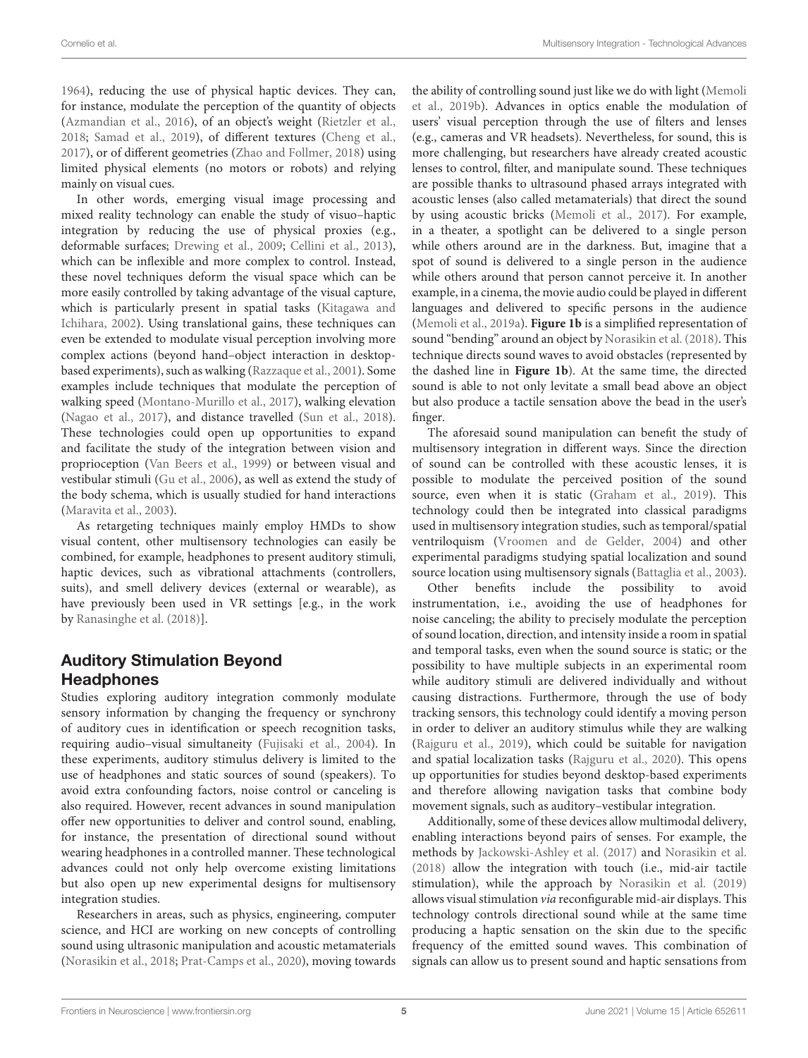[1964\)](#page-12-11), reducing the use of physical haptic devices. They can, for instance, modulate the perception of the quantity of objects [\(Azmandian et al.,](#page-9-14) [2016\)](#page-9-14), of an object's weight [\(Rietzler et al.,](#page-12-12) [2018;](#page-12-12) [Samad et al.,](#page-12-13) [2019\)](#page-12-13), of different textures [\(Cheng et al.,](#page-9-15) [2017\)](#page-9-15), or of different geometries [\(Zhao and Follmer,](#page-13-8) [2018\)](#page-13-8) using limited physical elements (no motors or robots) and relying mainly on visual cues.

In other words, emerging visual image processing and mixed reality technology can enable the study of visuo–haptic integration by reducing the use of physical proxies (e.g., deformable surfaces; [Drewing et al.,](#page-9-16) [2009;](#page-9-16) [Cellini et al.,](#page-9-17) [2013\)](#page-9-17), which can be inflexible and more complex to control. Instead, these novel techniques deform the visual space which can be more easily controlled by taking advantage of the visual capture, which is particularly present in spatial tasks [\(Kitagawa and](#page-10-9) [Ichihara,](#page-10-9) [2002\)](#page-10-9). Using translational gains, these techniques can even be extended to modulate visual perception involving more complex actions (beyond hand–object interaction in desktopbased experiments), such as walking [\(Razzaque et al.,](#page-12-14) [2001\)](#page-12-14). Some examples include techniques that modulate the perception of walking speed [\(Montano-Murillo et al.,](#page-11-10) [2017\)](#page-11-10), walking elevation [\(Nagao et al.,](#page-11-11) [2017\)](#page-11-11), and distance travelled [\(Sun et al.,](#page-12-15) [2018\)](#page-12-15). These technologies could open up opportunities to expand and facilitate the study of the integration between vision and proprioception [\(Van Beers et al.,](#page-12-16) [1999\)](#page-12-16) or between visual and vestibular stimuli [\(Gu et al.,](#page-10-10) [2006\)](#page-10-10), as well as extend the study of the body schema, which is usually studied for hand interactions [\(Maravita et al.,](#page-10-11) [2003\)](#page-10-11).

As retargeting techniques mainly employ HMDs to show visual content, other multisensory technologies can easily be combined, for example, headphones to present auditory stimuli, haptic devices, such as vibrational attachments (controllers, suits), and smell delivery devices (external or wearable), as have previously been used in VR settings [e.g., in the work by [Ranasinghe et al.](#page-12-17) [\(2018\)](#page-12-17)].

# Auditory Stimulation Beyond **Headphones**

Studies exploring auditory integration commonly modulate sensory information by changing the frequency or synchrony of auditory cues in identification or speech recognition tasks, requiring audio–visual simultaneity [\(Fujisaki et al.,](#page-10-12) [2004\)](#page-10-12). In these experiments, auditory stimulus delivery is limited to the use of headphones and static sources of sound (speakers). To avoid extra confounding factors, noise control or canceling is also required. However, recent advances in sound manipulation offer new opportunities to deliver and control sound, enabling, for instance, the presentation of directional sound without wearing headphones in a controlled manner. These technological advances could not only help overcome existing limitations but also open up new experimental designs for multisensory integration studies.

Researchers in areas, such as physics, engineering, computer science, and HCI are working on new concepts of controlling sound using ultrasonic manipulation and acoustic metamaterials [\(Norasikin et al.,](#page-11-3) [2018;](#page-11-3) [Prat-Camps et al.,](#page-11-12) [2020\)](#page-11-12), moving towards the ability of controlling sound just like we do with light [\(Memoli](#page-11-13) [et al.,](#page-11-13) [2019b\)](#page-11-13). Advances in optics enable the modulation of users' visual perception through the use of filters and lenses (e.g., cameras and VR headsets). Nevertheless, for sound, this is more challenging, but researchers have already created acoustic lenses to control, filter, and manipulate sound. These techniques are possible thanks to ultrasound phased arrays integrated with acoustic lenses (also called metamaterials) that direct the sound by using acoustic bricks [\(Memoli et al.,](#page-11-14) [2017\)](#page-11-14). For example, in a theater, a spotlight can be delivered to a single person while others around are in the darkness. But, imagine that a spot of sound is delivered to a single person in the audience while others around that person cannot perceive it. In another example, in a cinema, the movie audio could be played in different languages and delivered to specific persons in the audience [\(Memoli et al.,](#page-11-15) [2019a\)](#page-11-15). **[Figure 1b](#page-2-0)** is a simplified representation of sound "bending" around an object by [Norasikin et al.](#page-11-3) [\(2018\)](#page-11-3). This technique directs sound waves to avoid obstacles (represented by the dashed line in **[Figure 1b](#page-2-0)**). At the same time, the directed sound is able to not only levitate a small bead above an object but also produce a tactile sensation above the bead in the user's finger.

The aforesaid sound manipulation can benefit the study of multisensory integration in different ways. Since the direction of sound can be controlled with these acoustic lenses, it is possible to modulate the perceived position of the sound source, even when it is static [\(Graham et al.,](#page-10-13) [2019\)](#page-10-13). This technology could then be integrated into classical paradigms used in multisensory integration studies, such as temporal/spatial ventriloquism [\(Vroomen and de Gelder,](#page-13-9) [2004\)](#page-13-9) and other experimental paradigms studying spatial localization and sound source location using multisensory signals [\(Battaglia et al.,](#page-9-18) [2003\)](#page-9-18).

Other benefits include the possibility to avoid instrumentation, i.e., avoiding the use of headphones for noise canceling; the ability to precisely modulate the perception of sound location, direction, and intensity inside a room in spatial and temporal tasks, even when the sound source is static; or the possibility to have multiple subjects in an experimental room while auditory stimuli are delivered individually and without causing distractions. Furthermore, through the use of body tracking sensors, this technology could identify a moving person in order to deliver an auditory stimulus while they are walking [\(Rajguru et al.,](#page-12-18) [2019\)](#page-12-18), which could be suitable for navigation and spatial localization tasks [\(Rajguru et al.,](#page-12-19) [2020\)](#page-12-19). This opens up opportunities for studies beyond desktop-based experiments and therefore allowing navigation tasks that combine body movement signals, such as auditory–vestibular integration.

Additionally, some of these devices allow multimodal delivery, enabling interactions beyond pairs of senses. For example, the methods by [Jackowski-Ashley et al.](#page-10-14) [\(2017\)](#page-10-14) and [Norasikin et al.](#page-11-3) [\(2018\)](#page-11-3) allow the integration with touch (i.e., mid-air tactile stimulation), while the approach by [Norasikin et al.](#page-11-6) [\(2019\)](#page-11-6) allows visual stimulation via reconfigurable mid-air displays. This technology controls directional sound while at the same time producing a haptic sensation on the skin due to the specific frequency of the emitted sound waves. This combination of signals can allow us to present sound and haptic sensations from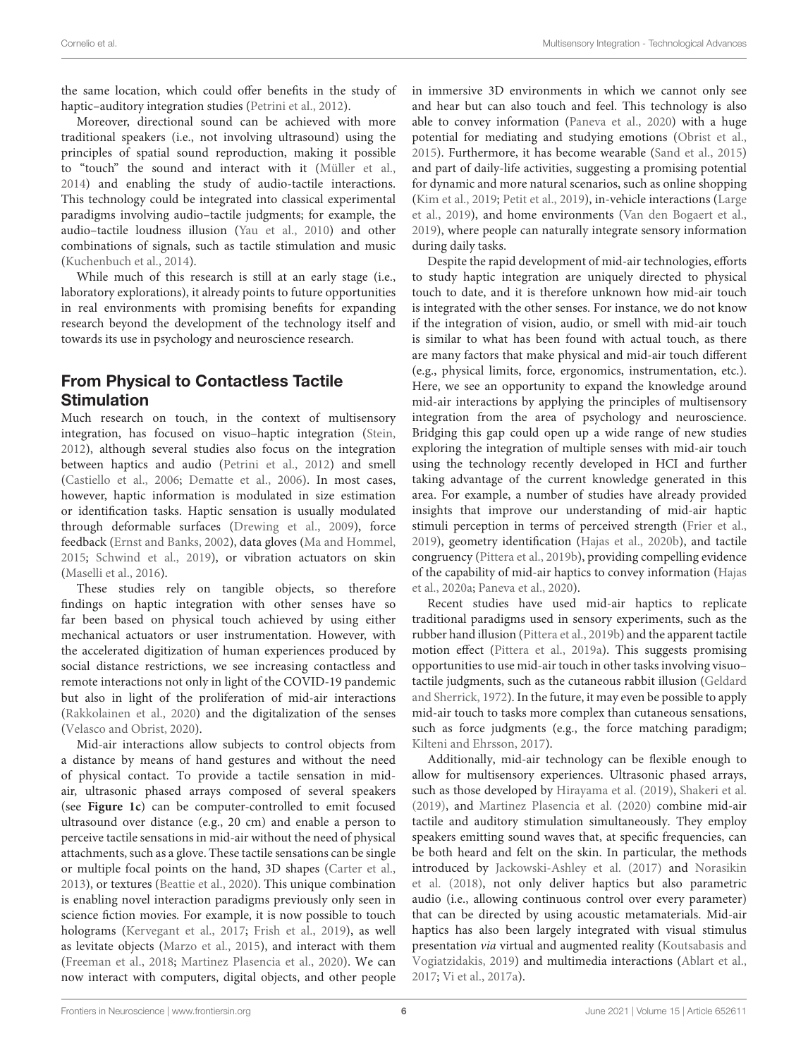the same location, which could offer benefits in the study of haptic–auditory integration studies [\(Petrini et al.,](#page-11-16) [2012\)](#page-11-16).

Moreover, directional sound can be achieved with more traditional speakers (i.e., not involving ultrasound) using the principles of spatial sound reproduction, making it possible to "touch" the sound and interact with it [\(Müller et al.,](#page-11-17) [2014\)](#page-11-17) and enabling the study of audio-tactile interactions. This technology could be integrated into classical experimental paradigms involving audio–tactile judgments; for example, the audio–tactile loudness illusion [\(Yau et al.,](#page-13-10) [2010\)](#page-13-10) and other combinations of signals, such as tactile stimulation and music [\(Kuchenbuch et al.,](#page-10-15) [2014\)](#page-10-15).

While much of this research is still at an early stage (i.e., laboratory explorations), it already points to future opportunities in real environments with promising benefits for expanding research beyond the development of the technology itself and towards its use in psychology and neuroscience research.

# From Physical to Contactless Tactile **Stimulation**

Much research on touch, in the context of multisensory integration, has focused on visuo–haptic integration [\(Stein,](#page-12-1) [2012\)](#page-12-1), although several studies also focus on the integration between haptics and audio [\(Petrini et al.,](#page-11-16) [2012\)](#page-11-16) and smell [\(Castiello et al.,](#page-9-19) [2006;](#page-9-19) [Dematte et al.,](#page-9-20) [2006\)](#page-9-20). In most cases, however, haptic information is modulated in size estimation or identification tasks. Haptic sensation is usually modulated through deformable surfaces [\(Drewing et al.,](#page-9-16) [2009\)](#page-9-16), force feedback [\(Ernst and Banks,](#page-9-7) [2002\)](#page-9-7), data gloves [\(Ma and Hommel,](#page-10-16) [2015;](#page-10-16) [Schwind et al.,](#page-12-20) [2019\)](#page-12-20), or vibration actuators on skin [\(Maselli et al.,](#page-11-18) [2016\)](#page-11-18).

These studies rely on tangible objects, so therefore findings on haptic integration with other senses have so far been based on physical touch achieved by using either mechanical actuators or user instrumentation. However, with the accelerated digitization of human experiences produced by social distance restrictions, we see increasing contactless and remote interactions not only in light of the COVID-19 pandemic but also in light of the proliferation of mid-air interactions [\(Rakkolainen et al.,](#page-12-21) [2020\)](#page-12-21) and the digitalization of the senses [\(Velasco and Obrist,](#page-13-1) [2020\)](#page-13-1).

Mid-air interactions allow subjects to control objects from a distance by means of hand gestures and without the need of physical contact. To provide a tactile sensation in midair, ultrasonic phased arrays composed of several speakers (see **[Figure 1c](#page-2-0)**) can be computer-controlled to emit focused ultrasound over distance (e.g., 20 cm) and enable a person to perceive tactile sensations in mid-air without the need of physical attachments, such as a glove. These tactile sensations can be single or multiple focal points on the hand, 3D shapes [\(Carter et al.,](#page-9-11) [2013\)](#page-9-11), or textures [\(Beattie et al.,](#page-9-21) [2020\)](#page-9-21). This unique combination is enabling novel interaction paradigms previously only seen in science fiction movies. For example, it is now possible to touch holograms [\(Kervegant et al.,](#page-10-17) [2017;](#page-10-17) [Frish et al.,](#page-10-18) [2019\)](#page-10-18), as well as levitate objects [\(Marzo et al.,](#page-11-19) [2015\)](#page-11-19), and interact with them [\(Freeman et al.,](#page-10-19) [2018;](#page-10-19) [Martinez Plasencia et al.,](#page-10-7) [2020\)](#page-10-7). We can now interact with computers, digital objects, and other people in immersive 3D environments in which we cannot only see and hear but can also touch and feel. This technology is also able to convey information [\(Paneva et al.,](#page-11-20) [2020\)](#page-11-20) with a huge potential for mediating and studying emotions [\(Obrist et al.,](#page-11-21) [2015\)](#page-11-21). Furthermore, it has become wearable [\(Sand et al.,](#page-12-22) [2015\)](#page-12-22) and part of daily-life activities, suggesting a promising potential for dynamic and more natural scenarios, such as online shopping [\(Kim et al.,](#page-10-20) [2019;](#page-10-20) [Petit et al.,](#page-11-22) [2019\)](#page-11-22), in-vehicle interactions [\(Large](#page-10-21) [et al.,](#page-10-21) [2019\)](#page-10-21), and home environments [\(Van den Bogaert et al.,](#page-12-23) [2019\)](#page-12-23), where people can naturally integrate sensory information during daily tasks.

Despite the rapid development of mid-air technologies, efforts to study haptic integration are uniquely directed to physical touch to date, and it is therefore unknown how mid-air touch is integrated with the other senses. For instance, we do not know if the integration of vision, audio, or smell with mid-air touch is similar to what has been found with actual touch, as there are many factors that make physical and mid-air touch different (e.g., physical limits, force, ergonomics, instrumentation, etc.). Here, we see an opportunity to expand the knowledge around mid-air interactions by applying the principles of multisensory integration from the area of psychology and neuroscience. Bridging this gap could open up a wide range of new studies exploring the integration of multiple senses with mid-air touch using the technology recently developed in HCI and further taking advantage of the current knowledge generated in this area. For example, a number of studies have already provided insights that improve our understanding of mid-air haptic stimuli perception in terms of perceived strength [\(Frier et al.,](#page-10-22) [2019\)](#page-10-22), geometry identification [\(Hajas et al.,](#page-10-23) [2020b\)](#page-10-23), and tactile congruency [\(Pittera et al.,](#page-11-23) [2019b\)](#page-11-23), providing compelling evidence of the capability of mid-air haptics to convey information [\(Hajas](#page-10-24) [et al.,](#page-10-24) [2020a;](#page-10-24) [Paneva et al.,](#page-11-20) [2020\)](#page-11-20).

Recent studies have used mid-air haptics to replicate traditional paradigms used in sensory experiments, such as the rubber hand illusion [\(Pittera et al.,](#page-11-23) [2019b\)](#page-11-23) and the apparent tactile motion effect [\(Pittera et al.,](#page-11-24) [2019a\)](#page-11-24). This suggests promising opportunities to use mid-air touch in other tasks involving visuo– tactile judgments, such as the cutaneous rabbit illusion [\(Geldard](#page-10-25) [and Sherrick,](#page-10-25) [1972\)](#page-10-25). In the future, it may even be possible to apply mid-air touch to tasks more complex than cutaneous sensations, such as force judgments (e.g., the force matching paradigm; [Kilteni and Ehrsson,](#page-10-26) [2017\)](#page-10-26).

Additionally, mid-air technology can be flexible enough to allow for multisensory experiences. Ultrasonic phased arrays, such as those developed by [Hirayama et al.](#page-10-2) [\(2019\)](#page-10-2), [Shakeri et al.](#page-12-24) [\(2019\)](#page-12-24), and [Martinez Plasencia et al.](#page-10-7) [\(2020\)](#page-10-7) combine mid-air tactile and auditory stimulation simultaneously. They employ speakers emitting sound waves that, at specific frequencies, can be both heard and felt on the skin. In particular, the methods introduced by [Jackowski-Ashley et al.](#page-10-14) [\(2017\)](#page-10-14) and [Norasikin](#page-11-3) [et al.](#page-11-3) [\(2018\)](#page-11-3), not only deliver haptics but also parametric audio (i.e., allowing continuous control over every parameter) that can be directed by using acoustic metamaterials. Mid-air haptics has also been largely integrated with visual stimulus presentation via virtual and augmented reality [\(Koutsabasis and](#page-10-27) [Vogiatzidakis,](#page-10-27) [2019\)](#page-10-27) and multimedia interactions [\(Ablart et al.,](#page-9-22) [2017;](#page-9-22) [Vi et al.,](#page-13-11) [2017a\)](#page-13-11).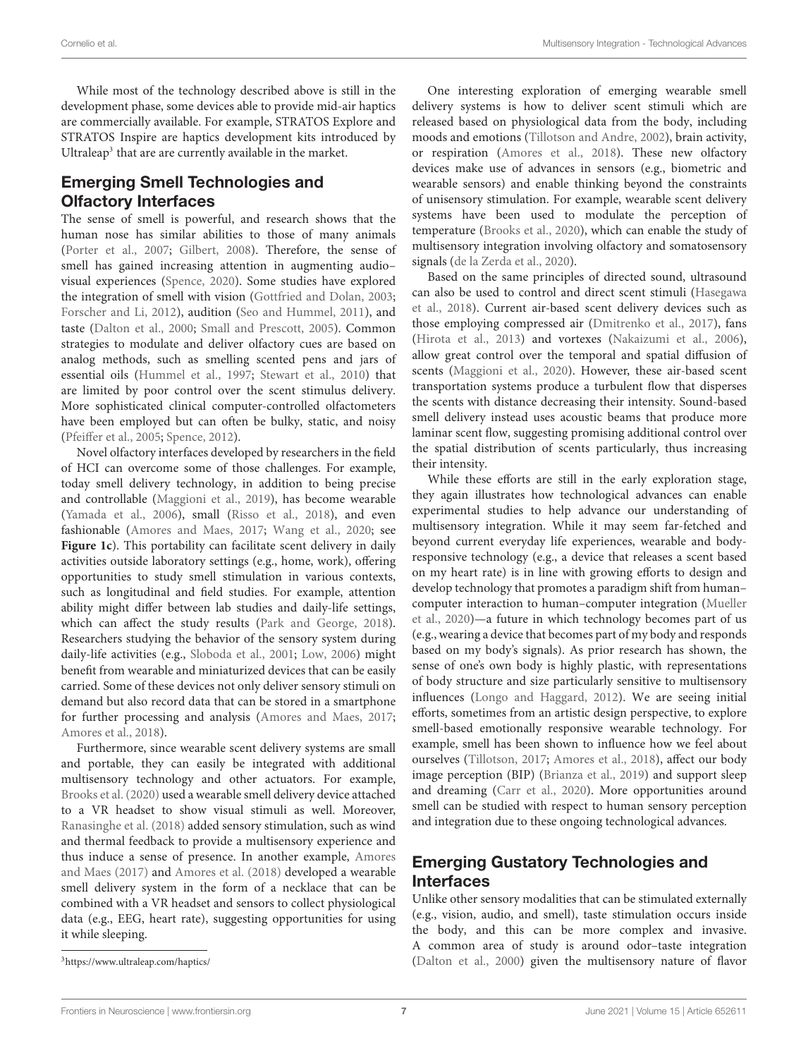While most of the technology described above is still in the development phase, some devices able to provide mid-air haptics are commercially available. For example, STRATOS Explore and STRATOS Inspire are haptics development kits introduced by Ultraleap<sup>[3](#page-6-0)</sup> that are are currently available in the market.

# Emerging Smell Technologies and Olfactory Interfaces

The sense of smell is powerful, and research shows that the human nose has similar abilities to those of many animals [\(Porter et al.,](#page-11-25) [2007;](#page-11-25) [Gilbert,](#page-10-28) [2008\)](#page-10-28). Therefore, the sense of smell has gained increasing attention in augmenting audio– visual experiences [\(Spence,](#page-12-25) [2020\)](#page-12-25). Some studies have explored the integration of smell with vision [\(Gottfried and Dolan,](#page-10-29) [2003;](#page-10-29) [Forscher and Li,](#page-9-23) [2012\)](#page-9-23), audition [\(Seo and Hummel,](#page-12-26) [2011\)](#page-12-26), and taste [\(Dalton et al.,](#page-9-24) [2000;](#page-9-24) [Small and Prescott,](#page-12-27) [2005\)](#page-12-27). Common strategies to modulate and deliver olfactory cues are based on analog methods, such as smelling scented pens and jars of essential oils [\(Hummel et al.,](#page-10-30) [1997;](#page-10-30) [Stewart et al.,](#page-12-28) [2010\)](#page-12-28) that are limited by poor control over the scent stimulus delivery. More sophisticated clinical computer-controlled olfactometers have been employed but can often be bulky, static, and noisy [\(Pfeiffer et al.,](#page-11-26) [2005;](#page-11-26) [Spence,](#page-12-29) [2012\)](#page-12-29).

Novel olfactory interfaces developed by researchers in the field of HCI can overcome some of those challenges. For example, today smell delivery technology, in addition to being precise and controllable [\(Maggioni et al.,](#page-10-31) [2019\)](#page-10-31), has become wearable [\(Yamada et al.,](#page-13-12) [2006\)](#page-13-12), small [\(Risso et al.,](#page-12-30) [2018\)](#page-12-30), and even fashionable [\(Amores and Maes,](#page-9-25) [2017;](#page-9-25) [Wang et al.,](#page-13-2) [2020;](#page-13-2) see **[Figure 1c](#page-2-0)**). This portability can facilitate scent delivery in daily activities outside laboratory settings (e.g., home, work), offering opportunities to study smell stimulation in various contexts, such as longitudinal and field studies. For example, attention ability might differ between lab studies and daily-life settings, which can affect the study results [\(Park and George,](#page-11-27) [2018\)](#page-11-27). Researchers studying the behavior of the sensory system during daily-life activities (e.g., [Sloboda et al.,](#page-12-31) [2001;](#page-12-31) [Low,](#page-10-32) [2006\)](#page-10-32) might benefit from wearable and miniaturized devices that can be easily carried. Some of these devices not only deliver sensory stimuli on demand but also record data that can be stored in a smartphone for further processing and analysis [\(Amores and Maes,](#page-9-25) [2017;](#page-9-25) [Amores et al.,](#page-9-12) [2018\)](#page-9-12).

Furthermore, since wearable scent delivery systems are small and portable, they can easily be integrated with additional multisensory technology and other actuators. For example, [Brooks et al.](#page-9-26) [\(2020\)](#page-9-26) used a wearable smell delivery device attached to a VR headset to show visual stimuli as well. Moreover, [Ranasinghe et al.](#page-12-17) [\(2018\)](#page-12-17) added sensory stimulation, such as wind and thermal feedback to provide a multisensory experience and thus induce a sense of presence. In another example, [Amores](#page-9-25) [and Maes](#page-9-25) [\(2017\)](#page-9-25) and [Amores et al.](#page-9-12) [\(2018\)](#page-9-12) developed a wearable smell delivery system in the form of a necklace that can be combined with a VR headset and sensors to collect physiological data (e.g., EEG, heart rate), suggesting opportunities for using it while sleeping.

One interesting exploration of emerging wearable smell delivery systems is how to deliver scent stimuli which are released based on physiological data from the body, including moods and emotions [\(Tillotson and Andre,](#page-12-32) [2002\)](#page-12-32), brain activity, or respiration [\(Amores et al.,](#page-9-12) [2018\)](#page-9-12). These new olfactory devices make use of advances in sensors (e.g., biometric and wearable sensors) and enable thinking beyond the constraints of unisensory stimulation. For example, wearable scent delivery systems have been used to modulate the perception of temperature [\(Brooks et al.,](#page-9-26) [2020\)](#page-9-26), which can enable the study of multisensory integration involving olfactory and somatosensory signals [\(de la Zerda et al.,](#page-9-27) [2020\)](#page-9-27).

Based on the same principles of directed sound, ultrasound can also be used to control and direct scent stimuli [\(Hasegawa](#page-10-33) [et al.,](#page-10-33) [2018\)](#page-10-33). Current air-based scent delivery devices such as those employing compressed air [\(Dmitrenko et al.,](#page-9-28) [2017\)](#page-9-28), fans [\(Hirota et al.,](#page-10-34) [2013\)](#page-10-34) and vortexes [\(Nakaizumi et al.,](#page-11-28) [2006\)](#page-11-28), allow great control over the temporal and spatial diffusion of scents [\(Maggioni et al.,](#page-10-35) [2020\)](#page-10-35). However, these air-based scent transportation systems produce a turbulent flow that disperses the scents with distance decreasing their intensity. Sound-based smell delivery instead uses acoustic beams that produce more laminar scent flow, suggesting promising additional control over the spatial distribution of scents particularly, thus increasing their intensity.

While these efforts are still in the early exploration stage, they again illustrates how technological advances can enable experimental studies to help advance our understanding of multisensory integration. While it may seem far-fetched and beyond current everyday life experiences, wearable and bodyresponsive technology (e.g., a device that releases a scent based on my heart rate) is in line with growing efforts to design and develop technology that promotes a paradigm shift from human– computer interaction to human–computer integration [\(Mueller](#page-11-29) [et al.,](#page-11-29) [2020\)](#page-11-29)—a future in which technology becomes part of us (e.g., wearing a device that becomes part of my body and responds based on my body's signals). As prior research has shown, the sense of one's own body is highly plastic, with representations of body structure and size particularly sensitive to multisensory influences [\(Longo and Haggard,](#page-10-36) [2012\)](#page-10-36). We are seeing initial efforts, sometimes from an artistic design perspective, to explore smell-based emotionally responsive wearable technology. For example, smell has been shown to influence how we feel about ourselves [\(Tillotson,](#page-12-33) [2017;](#page-12-33) [Amores et al.,](#page-9-12) [2018\)](#page-9-12), affect our body image perception (BIP) [\(Brianza et al.,](#page-9-29) [2019\)](#page-9-29) and support sleep and dreaming [\(Carr et al.,](#page-9-30) [2020\)](#page-9-30). More opportunities around smell can be studied with respect to human sensory perception and integration due to these ongoing technological advances.

# Emerging Gustatory Technologies and Interfaces

Unlike other sensory modalities that can be stimulated externally (e.g., vision, audio, and smell), taste stimulation occurs inside the body, and this can be more complex and invasive. A common area of study is around odor–taste integration [\(Dalton et al.,](#page-9-24) [2000\)](#page-9-24) given the multisensory nature of flavor

<span id="page-6-0"></span><sup>3</sup><https://www.ultraleap.com/haptics/>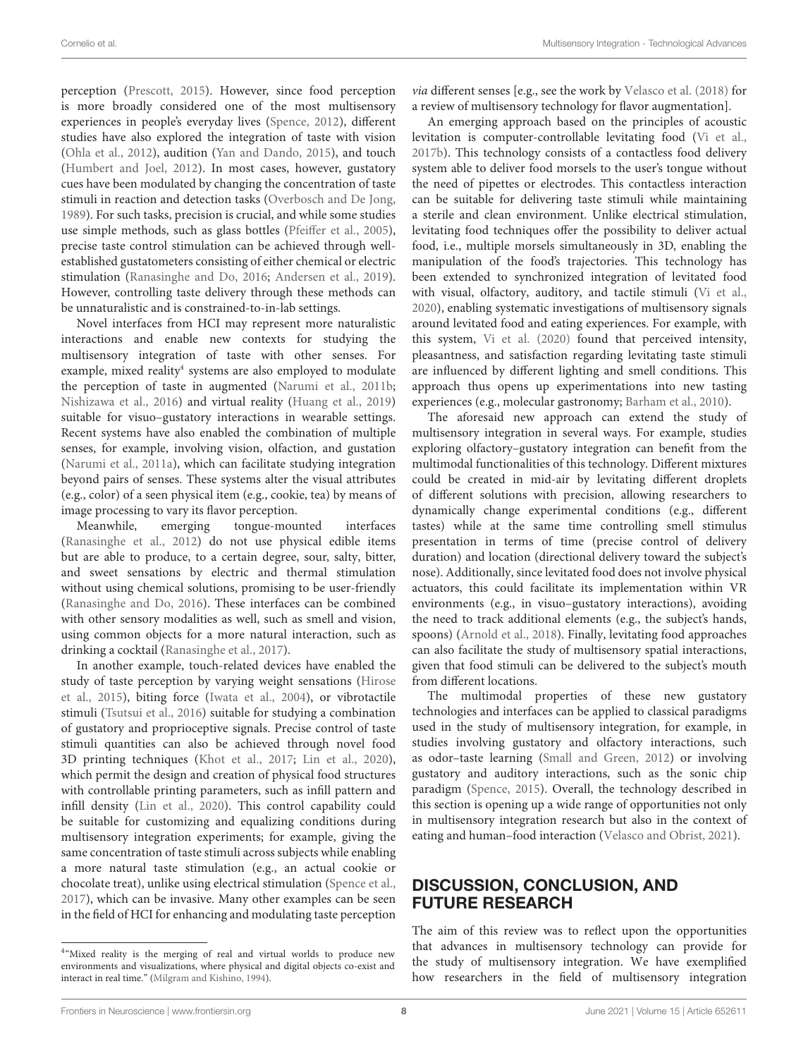perception [\(Prescott,](#page-11-30) [2015\)](#page-11-30). However, since food perception is more broadly considered one of the most multisensory experiences in people's everyday lives [\(Spence,](#page-12-29) [2012\)](#page-12-29), different studies have also explored the integration of taste with vision [\(Ohla et al.,](#page-11-31) [2012\)](#page-11-31), audition [\(Yan and Dando,](#page-13-13) [2015\)](#page-13-13), and touch [\(Humbert and Joel,](#page-10-37) [2012\)](#page-10-37). In most cases, however, gustatory cues have been modulated by changing the concentration of taste stimuli in reaction and detection tasks [\(Overbosch and De Jong,](#page-11-32) [1989\)](#page-11-32). For such tasks, precision is crucial, and while some studies use simple methods, such as glass bottles [\(Pfeiffer et al.,](#page-11-26) [2005\)](#page-11-26), precise taste control stimulation can be achieved through wellestablished gustatometers consisting of either chemical or electric stimulation [\(Ranasinghe and Do,](#page-12-34) [2016;](#page-12-34) [Andersen et al.,](#page-9-31) [2019\)](#page-9-31). However, controlling taste delivery through these methods can be unnaturalistic and is constrained-to-in-lab settings.

Novel interfaces from HCI may represent more naturalistic interactions and enable new contexts for studying the multisensory integration of taste with other senses. For example, mixed reality<sup>[4](#page-7-0)</sup> systems are also employed to modulate the perception of taste in augmented [\(Narumi et al.,](#page-11-33) [2011b;](#page-11-33) [Nishizawa et al.,](#page-11-34) [2016\)](#page-11-34) and virtual reality [\(Huang et al.,](#page-10-6) [2019\)](#page-10-6) suitable for visuo–gustatory interactions in wearable settings. Recent systems have also enabled the combination of multiple senses, for example, involving vision, olfaction, and gustation [\(Narumi et al.,](#page-11-35) [2011a\)](#page-11-35), which can facilitate studying integration beyond pairs of senses. These systems alter the visual attributes (e.g., color) of a seen physical item (e.g., cookie, tea) by means of image processing to vary its flavor perception.

Meanwhile, emerging tongue-mounted interfaces [\(Ranasinghe et al.,](#page-12-35) [2012\)](#page-12-35) do not use physical edible items but are able to produce, to a certain degree, sour, salty, bitter, and sweet sensations by electric and thermal stimulation without using chemical solutions, promising to be user-friendly [\(Ranasinghe and Do,](#page-12-34) [2016\)](#page-12-34). These interfaces can be combined with other sensory modalities as well, such as smell and vision, using common objects for a more natural interaction, such as drinking a cocktail [\(Ranasinghe et al.,](#page-12-36) [2017\)](#page-12-36).

In another example, touch-related devices have enabled the study of taste perception by varying weight sensations [\(Hirose](#page-10-38) [et al.,](#page-10-38) [2015\)](#page-10-38), biting force [\(Iwata et al.,](#page-10-39) [2004\)](#page-10-39), or vibrotactile stimuli [\(Tsutsui et al.,](#page-12-37) [2016\)](#page-12-37) suitable for studying a combination of gustatory and proprioceptive signals. Precise control of taste stimuli quantities can also be achieved through novel food 3D printing techniques [\(Khot et al.,](#page-10-40) [2017;](#page-10-40) [Lin et al.,](#page-10-41) [2020\)](#page-10-41), which permit the design and creation of physical food structures with controllable printing parameters, such as infill pattern and infill density [\(Lin et al.,](#page-10-41) [2020\)](#page-10-41). This control capability could be suitable for customizing and equalizing conditions during multisensory integration experiments; for example, giving the same concentration of taste stimuli across subjects while enabling a more natural taste stimulation (e.g., an actual cookie or chocolate treat), unlike using electrical stimulation [\(Spence et al.,](#page-12-38) [2017\)](#page-12-38), which can be invasive. Many other examples can be seen in the field of HCI for enhancing and modulating taste perception via different senses [e.g., see the work by [Velasco et al.](#page-13-14) [\(2018\)](#page-13-14) for a review of multisensory technology for flavor augmentation].

An emerging approach based on the principles of acoustic levitation is computer-controllable levitating food [\(Vi et al.,](#page-13-7) [2017b\)](#page-13-7). This technology consists of a contactless food delivery system able to deliver food morsels to the user's tongue without the need of pipettes or electrodes. This contactless interaction can be suitable for delivering taste stimuli while maintaining a sterile and clean environment. Unlike electrical stimulation, levitating food techniques offer the possibility to deliver actual food, i.e., multiple morsels simultaneously in 3D, enabling the manipulation of the food's trajectories. This technology has been extended to synchronized integration of levitated food with visual, olfactory, auditory, and tactile stimuli [\(Vi et al.,](#page-13-3) [2020\)](#page-13-3), enabling systematic investigations of multisensory signals around levitated food and eating experiences. For example, with this system, [Vi et al.](#page-13-3) [\(2020\)](#page-13-3) found that perceived intensity, pleasantness, and satisfaction regarding levitating taste stimuli are influenced by different lighting and smell conditions. This approach thus opens up experimentations into new tasting experiences (e.g., molecular gastronomy; [Barham et al.,](#page-9-32) [2010\)](#page-9-32).

The aforesaid new approach can extend the study of multisensory integration in several ways. For example, studies exploring olfactory–gustatory integration can benefit from the multimodal functionalities of this technology. Different mixtures could be created in mid-air by levitating different droplets of different solutions with precision, allowing researchers to dynamically change experimental conditions (e.g., different tastes) while at the same time controlling smell stimulus presentation in terms of time (precise control of delivery duration) and location (directional delivery toward the subject's nose). Additionally, since levitated food does not involve physical actuators, this could facilitate its implementation within VR environments (e.g., in visuo–gustatory interactions), avoiding the need to track additional elements (e.g., the subject's hands, spoons) [\(Arnold et al.,](#page-9-33) [2018\)](#page-9-33). Finally, levitating food approaches can also facilitate the study of multisensory spatial interactions, given that food stimuli can be delivered to the subject's mouth from different locations.

The multimodal properties of these new gustatory technologies and interfaces can be applied to classical paradigms used in the study of multisensory integration, for example, in studies involving gustatory and olfactory interactions, such as odor–taste learning [\(Small and Green,](#page-12-39) [2012\)](#page-12-39) or involving gustatory and auditory interactions, such as the sonic chip paradigm [\(Spence,](#page-12-40) [2015\)](#page-12-40). Overall, the technology described in this section is opening up a wide range of opportunities not only in multisensory integration research but also in the context of eating and human–food interaction [\(Velasco and Obrist,](#page-13-15) [2021\)](#page-13-15).

# DISCUSSION, CONCLUSION, AND FUTURE RESEARCH

The aim of this review was to reflect upon the opportunities that advances in multisensory technology can provide for the study of multisensory integration. We have exemplified how researchers in the field of multisensory integration

<span id="page-7-0"></span><sup>&</sup>lt;sup>4</sup>"Mixed reality is the merging of real and virtual worlds to produce new environments and visualizations, where physical and digital objects co-exist and interact in real time." [\(Milgram and Kishino,](#page-11-36) [1994\)](#page-11-36).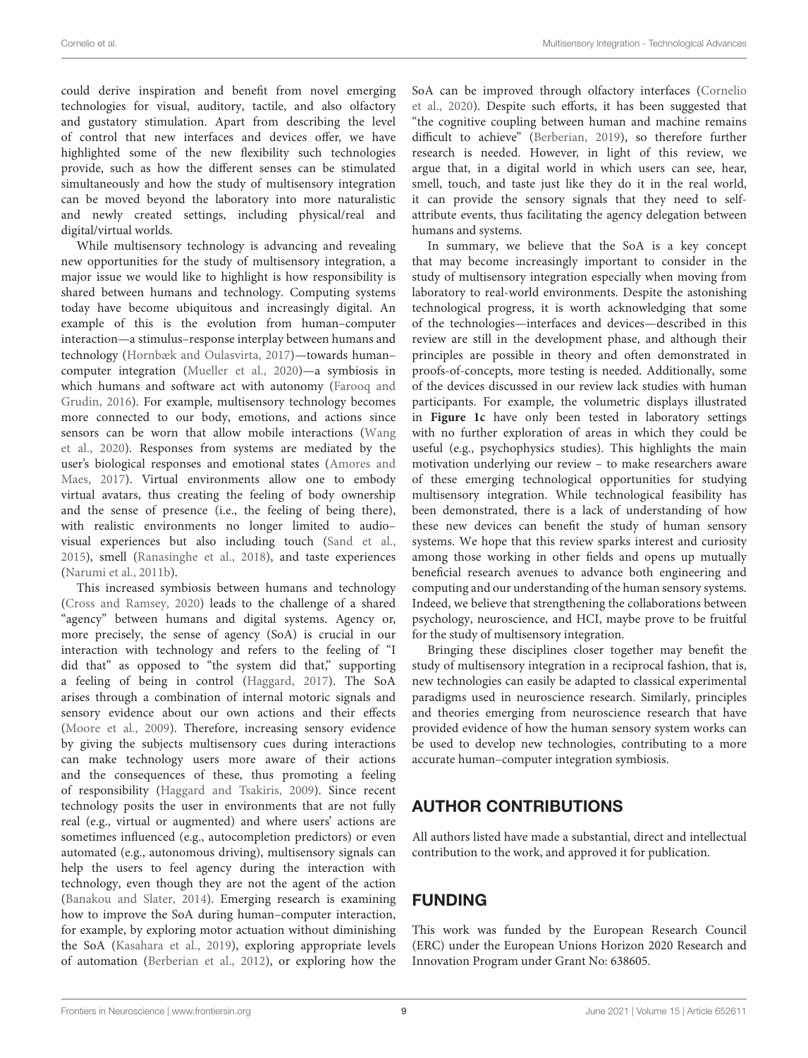could derive inspiration and benefit from novel emerging technologies for visual, auditory, tactile, and also olfactory and gustatory stimulation. Apart from describing the level of control that new interfaces and devices offer, we have highlighted some of the new flexibility such technologies provide, such as how the different senses can be stimulated simultaneously and how the study of multisensory integration can be moved beyond the laboratory into more naturalistic and newly created settings, including physical/real and digital/virtual worlds.

While multisensory technology is advancing and revealing new opportunities for the study of multisensory integration, a major issue we would like to highlight is how responsibility is shared between humans and technology. Computing systems today have become ubiquitous and increasingly digital. An example of this is the evolution from human–computer interaction—a stimulus–response interplay between humans and technology [\(Hornbæk and Oulasvirta,](#page-10-42) [2017\)](#page-10-42)—towards human– computer integration [\(Mueller et al.,](#page-11-29) [2020\)](#page-11-29)—a symbiosis in which humans and software act with autonomy [\(Farooq and](#page-9-5) [Grudin,](#page-9-5) [2016\)](#page-9-5). For example, multisensory technology becomes more connected to our body, emotions, and actions since sensors can be worn that allow mobile interactions [\(Wang](#page-13-2) [et al.,](#page-13-2) [2020\)](#page-13-2). Responses from systems are mediated by the user's biological responses and emotional states [\(Amores and](#page-9-25) [Maes,](#page-9-25) [2017\)](#page-9-25). Virtual environments allow one to embody virtual avatars, thus creating the feeling of body ownership and the sense of presence (i.e., the feeling of being there), with realistic environments no longer limited to audio– visual experiences but also including touch [\(Sand et al.,](#page-12-22) [2015\)](#page-12-22), smell [\(Ranasinghe et al.,](#page-12-17) [2018\)](#page-12-17), and taste experiences [\(Narumi et al.,](#page-11-33) [2011b\)](#page-11-33).

This increased symbiosis between humans and technology [\(Cross and Ramsey,](#page-9-34) [2020\)](#page-9-34) leads to the challenge of a shared "agency" between humans and digital systems. Agency or, more precisely, the sense of agency (SoA) is crucial in our interaction with technology and refers to the feeling of "I did that" as opposed to "the system did that," supporting a feeling of being in control [\(Haggard,](#page-10-1) [2017\)](#page-10-1). The SoA arises through a combination of internal motoric signals and sensory evidence about our own actions and their effects [\(Moore et al.,](#page-11-37) [2009\)](#page-11-37). Therefore, increasing sensory evidence by giving the subjects multisensory cues during interactions can make technology users more aware of their actions and the consequences of these, thus promoting a feeling of responsibility [\(Haggard and Tsakiris,](#page-10-43) [2009\)](#page-10-43). Since recent technology posits the user in environments that are not fully real (e.g., virtual or augmented) and where users' actions are sometimes influenced (e.g., autocompletion predictors) or even automated (e.g., autonomous driving), multisensory signals can help the users to feel agency during the interaction with technology, even though they are not the agent of the action [\(Banakou and Slater,](#page-9-35) [2014\)](#page-9-35). Emerging research is examining how to improve the SoA during human–computer interaction, for example, by exploring motor actuation without diminishing the SoA [\(Kasahara et al.,](#page-10-44) [2019\)](#page-10-44), exploring appropriate levels of automation [\(Berberian et al.,](#page-9-36) [2012\)](#page-9-36), or exploring how the

SoA can be improved through olfactory interfaces [\(Cornelio](#page-9-37) [et al.,](#page-9-37) [2020\)](#page-9-37). Despite such efforts, it has been suggested that "the cognitive coupling between human and machine remains difficult to achieve" [\(Berberian,](#page-9-38) [2019\)](#page-9-38), so therefore further research is needed. However, in light of this review, we argue that, in a digital world in which users can see, hear, smell, touch, and taste just like they do it in the real world, it can provide the sensory signals that they need to selfattribute events, thus facilitating the agency delegation between humans and systems.

In summary, we believe that the SoA is a key concept that may become increasingly important to consider in the study of multisensory integration especially when moving from laboratory to real-world environments. Despite the astonishing technological progress, it is worth acknowledging that some of the technologies—interfaces and devices—described in this review are still in the development phase, and although their principles are possible in theory and often demonstrated in proofs-of-concepts, more testing is needed. Additionally, some of the devices discussed in our review lack studies with human participants. For example, the volumetric displays illustrated in **[Figure 1c](#page-2-0)** have only been tested in laboratory settings with no further exploration of areas in which they could be useful (e.g., psychophysics studies). This highlights the main motivation underlying our review – to make researchers aware of these emerging technological opportunities for studying multisensory integration. While technological feasibility has been demonstrated, there is a lack of understanding of how these new devices can benefit the study of human sensory systems. We hope that this review sparks interest and curiosity among those working in other fields and opens up mutually beneficial research avenues to advance both engineering and computing and our understanding of the human sensory systems. Indeed, we believe that strengthening the collaborations between psychology, neuroscience, and HCI, maybe prove to be fruitful for the study of multisensory integration.

Bringing these disciplines closer together may benefit the study of multisensory integration in a reciprocal fashion, that is, new technologies can easily be adapted to classical experimental paradigms used in neuroscience research. Similarly, principles and theories emerging from neuroscience research that have provided evidence of how the human sensory system works can be used to develop new technologies, contributing to a more accurate human–computer integration symbiosis.

# AUTHOR CONTRIBUTIONS

All authors listed have made a substantial, direct and intellectual contribution to the work, and approved it for publication.

# FUNDING

This work was funded by the European Research Council (ERC) under the European Unions Horizon 2020 Research and Innovation Program under Grant No: 638605.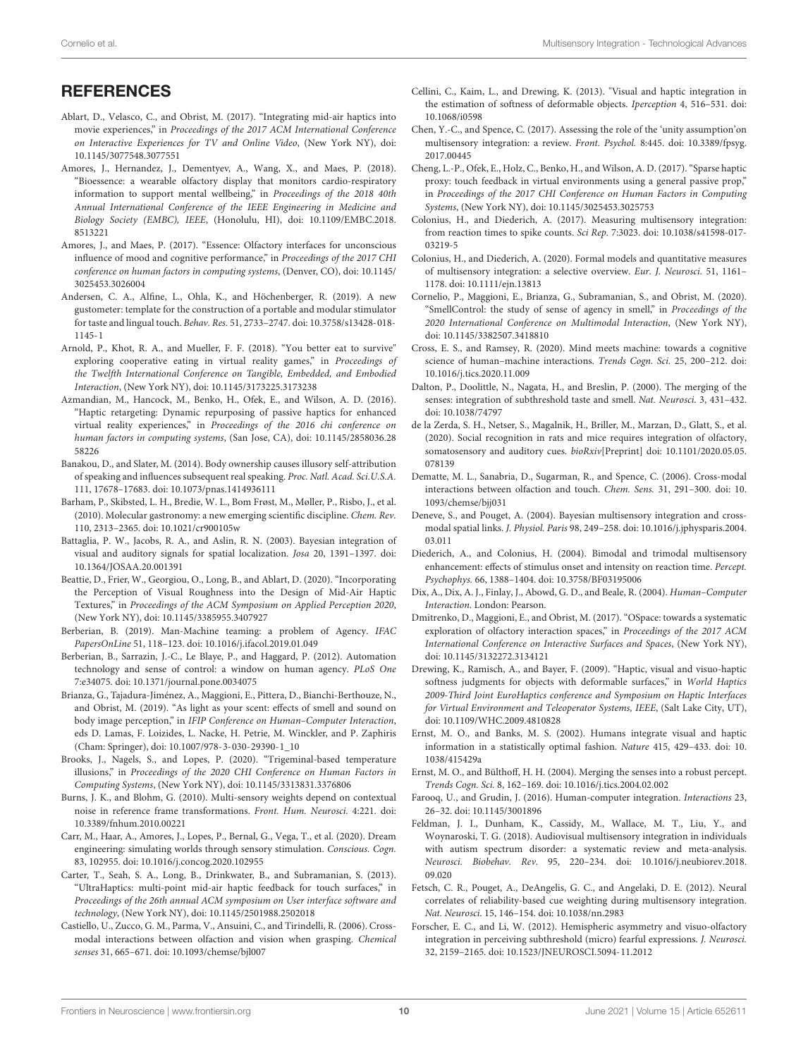## **REFERENCES**

- <span id="page-9-22"></span>Ablart, D., Velasco, C., and Obrist, M. (2017). "Integrating mid-air haptics into movie experiences," in Proceedings of the 2017 ACM International Conference on Interactive Experiences for TV and Online Video, (New York NY), [doi:](https://doi.org/10.1145/3077548.3077551) [10.1145/3077548.3077551](https://doi.org/10.1145/3077548.3077551)
- <span id="page-9-12"></span>Amores, J., Hernandez, J., Dementyev, A., Wang, X., and Maes, P. (2018). "Bioessence: a wearable olfactory display that monitors cardio-respiratory information to support mental wellbeing," in Proceedings of the 2018 40th Annual International Conference of the IEEE Engineering in Medicine and Biology Society (EMBC), IEEE, (Honolulu, HI), [doi: 10.1109/EMBC.2018.](https://doi.org/10.1109/EMBC.2018.8513221) [8513221](https://doi.org/10.1109/EMBC.2018.8513221)
- <span id="page-9-25"></span>Amores, J., and Maes, P. (2017). "Essence: Olfactory interfaces for unconscious influence of mood and cognitive performance," in Proceedings of the 2017 CHI conference on human factors in computing systems, (Denver, CO), [doi: 10.1145/](https://doi.org/10.1145/3025453.3026004) [3025453.3026004](https://doi.org/10.1145/3025453.3026004)
- <span id="page-9-31"></span>Andersen, C. A., Alfine, L., Ohla, K., and Höchenberger, R. (2019). A new gustometer: template for the construction of a portable and modular stimulator for taste and lingual touch. Behav. Res. 51, 2733–2747. [doi: 10.3758/s13428-018-](https://doi.org/10.3758/s13428-018-1145-1) [1145-1](https://doi.org/10.3758/s13428-018-1145-1)
- <span id="page-9-33"></span>Arnold, P., Khot, R. A., and Mueller, F. F. (2018). "You better eat to survive" exploring cooperative eating in virtual reality games," in Proceedings of the Twelfth International Conference on Tangible, Embedded, and Embodied Interaction, (New York NY), [doi: 10.1145/3173225.3173238](https://doi.org/10.1145/3173225.3173238)
- <span id="page-9-14"></span>Azmandian, M., Hancock, M., Benko, H., Ofek, E., and Wilson, A. D. (2016). "Haptic retargeting: Dynamic repurposing of passive haptics for enhanced virtual reality experiences," in Proceedings of the 2016 chi conference on human factors in computing systems, (San Jose, CA), [doi: 10.1145/2858036.28](https://doi.org/10.1145/2858036.2858226) [58226](https://doi.org/10.1145/2858036.2858226)
- <span id="page-9-35"></span>Banakou, D., and Slater, M. (2014). Body ownership causes illusory self-attribution of speaking and influences subsequent real speaking. Proc. Natl. Acad. Sci.U.S.A. 111, 17678–17683. [doi: 10.1073/pnas.1414936111](https://doi.org/10.1073/pnas.1414936111)
- <span id="page-9-32"></span>Barham, P., Skibsted, L. H., Bredie, W. L., Bom Frøst, M., Møller, P., Risbo, J., et al. (2010). Molecular gastronomy: a new emerging scientific discipline. Chem. Rev. 110, 2313–2365. [doi: 10.1021/cr900105w](https://doi.org/10.1021/cr900105w)
- <span id="page-9-18"></span>Battaglia, P. W., Jacobs, R. A., and Aslin, R. N. (2003). Bayesian integration of visual and auditory signals for spatial localization. Josa 20, 1391–1397. [doi:](https://doi.org/10.1364/JOSAA.20.001391) [10.1364/JOSAA.20.001391](https://doi.org/10.1364/JOSAA.20.001391)
- <span id="page-9-21"></span>Beattie, D., Frier, W., Georgiou, O., Long, B., and Ablart, D. (2020). "Incorporating the Perception of Visual Roughness into the Design of Mid-Air Haptic Textures," in Proceedings of the ACM Symposium on Applied Perception 2020, (New York NY), [doi: 10.1145/3385955.3407927](https://doi.org/10.1145/3385955.3407927)
- <span id="page-9-38"></span>Berberian, B. (2019). Man-Machine teaming: a problem of Agency. IFAC PapersOnLine 51, 118–123. [doi: 10.1016/j.ifacol.2019.01.049](https://doi.org/10.1016/j.ifacol.2019.01.049)
- <span id="page-9-36"></span>Berberian, B., Sarrazin, J.-C., Le Blaye, P., and Haggard, P. (2012). Automation technology and sense of control: a window on human agency. PLoS One 7:e34075. [doi: 10.1371/journal.pone.0034075](https://doi.org/10.1371/journal.pone.0034075)
- <span id="page-9-29"></span>Brianza, G., Tajadura-Jiménez, A., Maggioni, E., Pittera, D., Bianchi-Berthouze, N., and Obrist, M. (2019). "As light as your scent: effects of smell and sound on body image perception," in IFIP Conference on Human–Computer Interaction, eds D. Lamas, F. Loizides, L. Nacke, H. Petrie, M. Winckler, and P. Zaphiris (Cham: Springer), [doi: 10.1007/978-3-030-29390-1\\_10](https://doi.org/10.1007/978-3-030-29390-1_10)
- <span id="page-9-26"></span>Brooks, J., Nagels, S., and Lopes, P. (2020). "Trigeminal-based temperature illusions," in Proceedings of the 2020 CHI Conference on Human Factors in Computing Systems, (New York NY), [doi: 10.1145/3313831.3376806](https://doi.org/10.1145/3313831.3376806)
- <span id="page-9-10"></span>Burns, J. K., and Blohm, G. (2010). Multi-sensory weights depend on contextual noise in reference frame transformations. Front. Hum. Neurosci. 4:221. [doi:](https://doi.org/10.3389/fnhum.2010.00221) [10.3389/fnhum.2010.00221](https://doi.org/10.3389/fnhum.2010.00221)
- <span id="page-9-30"></span>Carr, M., Haar, A., Amores, J., Lopes, P., Bernal, G., Vega, T., et al. (2020). Dream engineering: simulating worlds through sensory stimulation. Conscious. Cogn. 83, 102955. [doi: 10.1016/j.concog.2020.102955](https://doi.org/10.1016/j.concog.2020.102955)
- <span id="page-9-11"></span>Carter, T., Seah, S. A., Long, B., Drinkwater, B., and Subramanian, S. (2013). "UltraHaptics: multi-point mid-air haptic feedback for touch surfaces," in Proceedings of the 26th annual ACM symposium on User interface software and technology, (New York NY), [doi: 10.1145/2501988.2502018](https://doi.org/10.1145/2501988.2502018)
- <span id="page-9-19"></span>Castiello, U., Zucco, G. M., Parma, V., Ansuini, C., and Tirindelli, R. (2006). Crossmodal interactions between olfaction and vision when grasping. Chemical senses 31, 665–671. [doi: 10.1093/chemse/bjl007](https://doi.org/10.1093/chemse/bjl007)
- <span id="page-9-17"></span>Cellini, C., Kaim, L., and Drewing, K. (2013). "Visual and haptic integration in the estimation of softness of deformable objects. Iperception 4, 516–531. [doi:](https://doi.org/10.1068/i0598) [10.1068/i0598](https://doi.org/10.1068/i0598)
- <span id="page-9-6"></span>Chen, Y.-C., and Spence, C. (2017). Assessing the role of the 'unity assumption'on multisensory integration: a review. Front. Psychol. 8:445. [doi: 10.3389/fpsyg.](https://doi.org/10.3389/fpsyg.2017.00445) [2017.00445](https://doi.org/10.3389/fpsyg.2017.00445)
- <span id="page-9-15"></span>Cheng, L.-P., Ofek, E., Holz, C., Benko, H., and Wilson, A. D. (2017). "Sparse haptic proxy: touch feedback in virtual environments using a general passive prop," in Proceedings of the 2017 CHI Conference on Human Factors in Computing Systems, (New York NY), [doi: 10.1145/3025453.3025753](https://doi.org/10.1145/3025453.3025753)
- <span id="page-9-2"></span>Colonius, H., and Diederich, A. (2017). Measuring multisensory integration: from reaction times to spike counts. Sci Rep. 7:3023. [doi: 10.1038/s41598-017-](https://doi.org/10.1038/s41598-017-03219-5) [03219-5](https://doi.org/10.1038/s41598-017-03219-5)
- <span id="page-9-3"></span>Colonius, H., and Diederich, A. (2020). Formal models and quantitative measures of multisensory integration: a selective overview. Eur. J. Neurosci. 51, 1161– 1178. [doi: 10.1111/ejn.13813](https://doi.org/10.1111/ejn.13813)
- <span id="page-9-37"></span>Cornelio, P., Maggioni, E., Brianza, G., Subramanian, S., and Obrist, M. (2020). "SmellControl: the study of sense of agency in smell," in Proceedings of the 2020 International Conference on Multimodal Interaction, (New York NY), [doi: 10.1145/3382507.3418810](https://doi.org/10.1145/3382507.3418810)
- <span id="page-9-34"></span>Cross, E. S., and Ramsey, R. (2020). Mind meets machine: towards a cognitive science of human–machine interactions. Trends Cogn. Sci. 25, 200–212. [doi:](https://doi.org/10.1016/j.tics.2020.11.009) [10.1016/j.tics.2020.11.009](https://doi.org/10.1016/j.tics.2020.11.009)
- <span id="page-9-24"></span>Dalton, P., Doolittle, N., Nagata, H., and Breslin, P. (2000). The merging of the senses: integration of subthreshold taste and smell. Nat. Neurosci. 3, 431–432. [doi: 10.1038/74797](https://doi.org/10.1038/74797)
- <span id="page-9-27"></span>de la Zerda, S. H., Netser, S., Magalnik, H., Briller, M., Marzan, D., Glatt, S., et al. (2020). Social recognition in rats and mice requires integration of olfactory, somatosensory and auditory cues.  $bioRxiv[Preprint]$  [doi: 10.1101/2020.05.05.](https://doi.org/10.1101/2020.05.05.078139) [078139](https://doi.org/10.1101/2020.05.05.078139)
- <span id="page-9-20"></span>Dematte, M. L., Sanabria, D., Sugarman, R., and Spence, C. (2006). Cross-modal interactions between olfaction and touch. Chem. Sens. 31, 291–300. [doi: 10.](https://doi.org/10.1093/chemse/bjj031) [1093/chemse/bjj031](https://doi.org/10.1093/chemse/bjj031)
- <span id="page-9-13"></span>Deneve, S., and Pouget, A. (2004). Bayesian multisensory integration and crossmodal spatial links. J. Physiol. Paris 98, 249–258. [doi: 10.1016/j.jphysparis.2004.](https://doi.org/10.1016/j.jphysparis.2004.03.011) [03.011](https://doi.org/10.1016/j.jphysparis.2004.03.011)
- <span id="page-9-0"></span>Diederich, A., and Colonius, H. (2004). Bimodal and trimodal multisensory enhancement: effects of stimulus onset and intensity on reaction time. Percept. Psychophys. 66, 1388–1404. [doi: 10.3758/BF03195006](https://doi.org/10.3758/BF03195006)
- <span id="page-9-4"></span>Dix, A., Dix, A. J., Finlay, J., Abowd, G. D., and Beale, R. (2004). Human–Computer Interaction. London: Pearson.
- <span id="page-9-28"></span>Dmitrenko, D., Maggioni, E., and Obrist, M. (2017). "OSpace: towards a systematic exploration of olfactory interaction spaces," in Proceedings of the 2017 ACM International Conference on Interactive Surfaces and Spaces, (New York NY), [doi: 10.1145/3132272.3134121](https://doi.org/10.1145/3132272.3134121)
- <span id="page-9-16"></span>Drewing, K., Ramisch, A., and Bayer, F. (2009). "Haptic, visual and visuo-haptic softness judgments for objects with deformable surfaces," in World Haptics 2009-Third Joint EuroHaptics conference and Symposium on Haptic Interfaces for Virtual Environment and Teleoperator Systems, IEEE, (Salt Lake City, UT), [doi: 10.1109/WHC.2009.4810828](https://doi.org/10.1109/WHC.2009.4810828)
- <span id="page-9-7"></span>Ernst, M. O., and Banks, M. S. (2002). Humans integrate visual and haptic information in a statistically optimal fashion. Nature 415, 429–433. [doi: 10.](https://doi.org/10.1038/415429a) [1038/415429a](https://doi.org/10.1038/415429a)
- <span id="page-9-8"></span>Ernst, M. O., and Bülthoff, H. H. (2004). Merging the senses into a robust percept. Trends Cogn. Sci. 8, 162–169. [doi: 10.1016/j.tics.2004.02.002](https://doi.org/10.1016/j.tics.2004.02.002)
- <span id="page-9-5"></span>Farooq, U., and Grudin, J. (2016). Human-computer integration. Interactions 23, 26–32. [doi: 10.1145/3001896](https://doi.org/10.1145/3001896)
- <span id="page-9-1"></span>Feldman, J. I., Dunham, K., Cassidy, M., Wallace, M. T., Liu, Y., and Woynaroski, T. G. (2018). Audiovisual multisensory integration in individuals with autism spectrum disorder: a systematic review and meta-analysis. Neurosci. Biobehav. Rev. 95, 220–234. [doi: 10.1016/j.neubiorev.2018.](https://doi.org/10.1016/j.neubiorev.2018.09.020) [09.020](https://doi.org/10.1016/j.neubiorev.2018.09.020)
- <span id="page-9-9"></span>Fetsch, C. R., Pouget, A., DeAngelis, G. C., and Angelaki, D. E. (2012). Neural correlates of reliability-based cue weighting during multisensory integration. Nat. Neurosci. 15, 146–154. [doi: 10.1038/nn.2983](https://doi.org/10.1038/nn.2983)
- <span id="page-9-23"></span>Forscher, E. C., and Li, W. (2012). Hemispheric asymmetry and visuo-olfactory integration in perceiving subthreshold (micro) fearful expressions. J. Neurosci. 32, 2159–2165. [doi: 10.1523/JNEUROSCI.5094-11.2012](https://doi.org/10.1523/JNEUROSCI.5094-11.2012)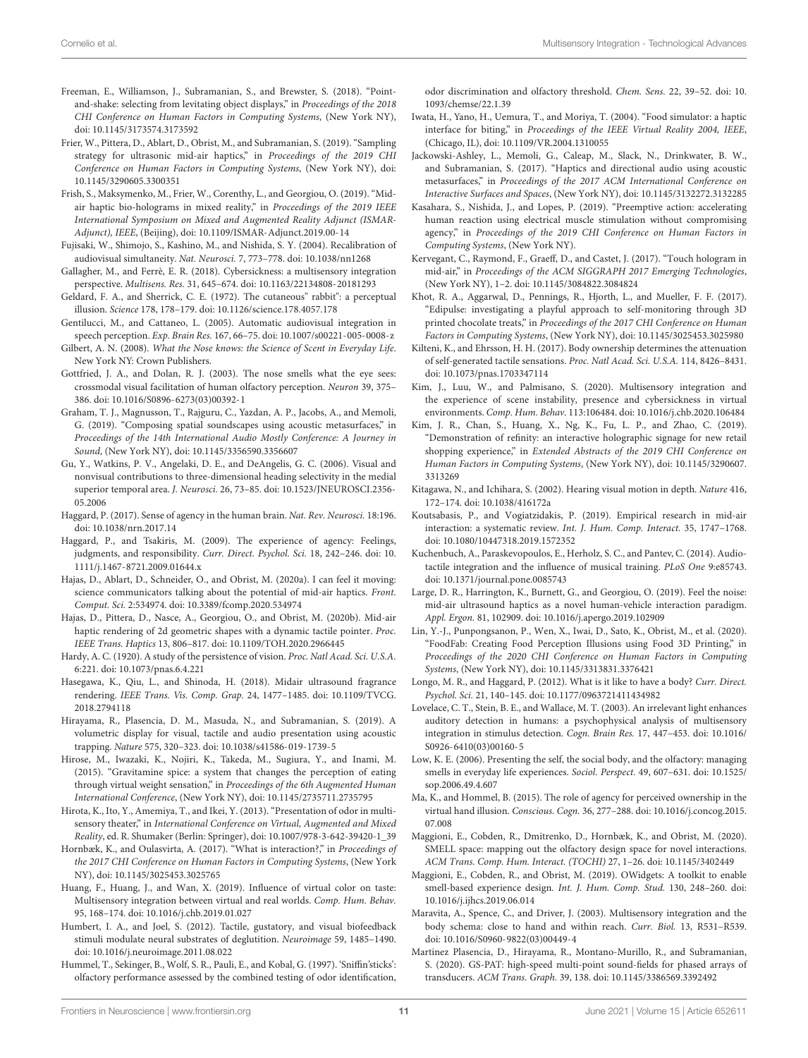- <span id="page-10-19"></span>Freeman, E., Williamson, J., Subramanian, S., and Brewster, S. (2018). "Pointand-shake: selecting from levitating object displays," in Proceedings of the 2018 CHI Conference on Human Factors in Computing Systems, (New York NY), [doi: 10.1145/3173574.3173592](https://doi.org/10.1145/3173574.3173592)
- <span id="page-10-22"></span>Frier, W., Pittera, D., Ablart, D., Obrist, M., and Subramanian, S. (2019). "Sampling strategy for ultrasonic mid-air haptics," in Proceedings of the 2019 CHI Conference on Human Factors in Computing Systems, (New York NY), [doi:](https://doi.org/10.1145/3290605.3300351) [10.1145/3290605.3300351](https://doi.org/10.1145/3290605.3300351)
- <span id="page-10-18"></span>Frish, S., Maksymenko, M., Frier, W., Corenthy, L., and Georgiou, O. (2019). "Midair haptic bio-holograms in mixed reality," in Proceedings of the 2019 IEEE International Symposium on Mixed and Augmented Reality Adjunct (ISMAR-Adjunct), IEEE, (Beijing), [doi: 10.1109/ISMAR-Adjunct.2019.00-14](https://doi.org/10.1109/ISMAR-Adjunct.2019.00-14)
- <span id="page-10-12"></span>Fujisaki, W., Shimojo, S., Kashino, M., and Nishida, S. Y. (2004). Recalibration of audiovisual simultaneity. Nat. Neurosci. 7, 773–778. [doi: 10.1038/nn1268](https://doi.org/10.1038/nn1268)
- <span id="page-10-4"></span>Gallagher, M., and Ferrè, E. R. (2018). Cybersickness: a multisensory integration perspective. Multisens. Res. 31, 645–674. [doi: 10.1163/22134808-20181293](https://doi.org/10.1163/22134808-20181293)
- <span id="page-10-25"></span>Geldard, F. A., and Sherrick, C. E. (1972). The cutaneous" rabbit": a perceptual illusion. Science 178, 178–179. [doi: 10.1126/science.178.4057.178](https://doi.org/10.1126/science.178.4057.178)
- <span id="page-10-3"></span>Gentilucci, M., and Cattaneo, L. (2005). Automatic audiovisual integration in speech perception. Exp. Brain Res. 167, 66–75. [doi: 10.1007/s00221-005-0008-z](https://doi.org/10.1007/s00221-005-0008-z)
- <span id="page-10-28"></span>Gilbert, A. N. (2008). What the Nose knows: the Science of Scent in Everyday Life. New York NY: Crown Publishers.
- <span id="page-10-29"></span>Gottfried, J. A., and Dolan, R. J. (2003). The nose smells what the eye sees: crossmodal visual facilitation of human olfactory perception. Neuron 39, 375– 386. [doi: 10.1016/S0896-6273\(03\)00392-1](https://doi.org/10.1016/S0896-6273(03)00392-1)
- <span id="page-10-13"></span>Graham, T. J., Magnusson, T., Rajguru, C., Yazdan, A. P., Jacobs, A., and Memoli, G. (2019). "Composing spatial soundscapes using acoustic metasurfaces," in Proceedings of the 14th International Audio Mostly Conference: A Journey in Sound, (New York NY), [doi: 10.1145/3356590.3356607](https://doi.org/10.1145/3356590.3356607)
- <span id="page-10-10"></span>Gu, Y., Watkins, P. V., Angelaki, D. E., and DeAngelis, G. C. (2006). Visual and nonvisual contributions to three-dimensional heading selectivity in the medial superior temporal area. J. Neurosci. 26, 73–85. [doi: 10.1523/JNEUROSCI.2356-](https://doi.org/10.1523/JNEUROSCI.2356-05.2006) [05.2006](https://doi.org/10.1523/JNEUROSCI.2356-05.2006)
- <span id="page-10-1"></span>Haggard, P. (2017). Sense of agency in the human brain. Nat. Rev. Neurosci. 18:196. [doi: 10.1038/nrn.2017.14](https://doi.org/10.1038/nrn.2017.14)
- <span id="page-10-43"></span>Haggard, P., and Tsakiris, M. (2009). The experience of agency: Feelings, judgments, and responsibility. Curr. Direct. Psychol. Sci. 18, 242–246. [doi: 10.](https://doi.org/10.1111/j.1467-8721.2009.01644.x) [1111/j.1467-8721.2009.01644.x](https://doi.org/10.1111/j.1467-8721.2009.01644.x)
- <span id="page-10-24"></span>Hajas, D., Ablart, D., Schneider, O., and Obrist, M. (2020a). I can feel it moving: science communicators talking about the potential of mid-air haptics. Front. Comput. Sci. 2:534974. [doi: 10.3389/fcomp.2020.534974](https://doi.org/10.3389/fcomp.2020.534974)
- <span id="page-10-23"></span>Hajas, D., Pittera, D., Nasce, A., Georgiou, O., and Obrist, M. (2020b). Mid-air haptic rendering of 2d geometric shapes with a dynamic tactile pointer. Proc. IEEE Trans. Haptics 13, 806–817. [doi: 10.1109/TOH.2020.2966445](https://doi.org/10.1109/TOH.2020.2966445)
- <span id="page-10-8"></span>Hardy, A. C. (1920). A study of the persistence of vision. Proc. Natl Acad. Sci. U.S.A. 6:221. [doi: 10.1073/pnas.6.4.221](https://doi.org/10.1073/pnas.6.4.221)
- <span id="page-10-33"></span>Hasegawa, K., Qiu, L., and Shinoda, H. (2018). Midair ultrasound fragrance rendering. IEEE Trans. Vis. Comp. Grap. 24, 1477–1485. [doi: 10.1109/TVCG.](https://doi.org/10.1109/TVCG.2018.2794118) [2018.2794118](https://doi.org/10.1109/TVCG.2018.2794118)
- <span id="page-10-2"></span>Hirayama, R., Plasencia, D. M., Masuda, N., and Subramanian, S. (2019). A volumetric display for visual, tactile and audio presentation using acoustic trapping. Nature 575, 320–323. [doi: 10.1038/s41586-019-1739-5](https://doi.org/10.1038/s41586-019-1739-5)
- <span id="page-10-38"></span>Hirose, M., Iwazaki, K., Nojiri, K., Takeda, M., Sugiura, Y., and Inami, M. (2015). "Gravitamine spice: a system that changes the perception of eating through virtual weight sensation," in Proceedings of the 6th Augmented Human International Conference, (New York NY), [doi: 10.1145/2735711.2735795](https://doi.org/10.1145/2735711.2735795)
- <span id="page-10-34"></span>Hirota, K., Ito, Y., Amemiya, T., and Ikei, Y. (2013). "Presentation of odor in multisensory theater," in International Conference on Virtual, Augmented and Mixed Reality, ed. R. Shumaker (Berlin: Springer), [doi: 10.1007/978-3-642-39420-1\\_39](https://doi.org/10.1007/978-3-642-39420-1_39)
- <span id="page-10-42"></span>Hornbæk, K., and Oulasvirta, A. (2017). "What is interaction?," in Proceedings of the 2017 CHI Conference on Human Factors in Computing Systems, (New York NY), [doi: 10.1145/3025453.3025765](https://doi.org/10.1145/3025453.3025765)
- <span id="page-10-6"></span>Huang, F., Huang, J., and Wan, X. (2019). Influence of virtual color on taste: Multisensory integration between virtual and real worlds. Comp. Hum. Behav. 95, 168–174. [doi: 10.1016/j.chb.2019.01.027](https://doi.org/10.1016/j.chb.2019.01.027)
- <span id="page-10-37"></span>Humbert, I. A., and Joel, S. (2012). Tactile, gustatory, and visual biofeedback stimuli modulate neural substrates of deglutition. Neuroimage 59, 1485–1490. [doi: 10.1016/j.neuroimage.2011.08.022](https://doi.org/10.1016/j.neuroimage.2011.08.022)
- <span id="page-10-30"></span>Hummel, T., Sekinger, B., Wolf, S. R., Pauli, E., and Kobal, G. (1997). 'Sniffin'sticks': olfactory performance assessed by the combined testing of odor identification,

odor discrimination and olfactory threshold. Chem. Sens. 22, 39–52. [doi: 10.](https://doi.org/10.1093/chemse/22.1.39) [1093/chemse/22.1.39](https://doi.org/10.1093/chemse/22.1.39)

- <span id="page-10-39"></span>Iwata, H., Yano, H., Uemura, T., and Moriya, T. (2004). "Food simulator: a haptic interface for biting," in Proceedings of the IEEE Virtual Reality 2004, IEEE, (Chicago, IL), [doi: 10.1109/VR.2004.1310055](https://doi.org/10.1109/VR.2004.1310055)
- <span id="page-10-14"></span>Jackowski-Ashley, L., Memoli, G., Caleap, M., Slack, N., Drinkwater, B. W., and Subramanian, S. (2017). "Haptics and directional audio using acoustic metasurfaces," in Proceedings of the 2017 ACM International Conference on Interactive Surfaces and Spaces, (New York NY), [doi: 10.1145/3132272.3132285](https://doi.org/10.1145/3132272.3132285)
- <span id="page-10-44"></span>Kasahara, S., Nishida, J., and Lopes, P. (2019). "Preemptive action: accelerating human reaction using electrical muscle stimulation without compromising agency," in Proceedings of the 2019 CHI Conference on Human Factors in Computing Systems, (New York NY).
- <span id="page-10-17"></span>Kervegant, C., Raymond, F., Graeff, D., and Castet, J. (2017). "Touch hologram in mid-air," in Proceedings of the ACM SIGGRAPH 2017 Emerging Technologies, (New York NY), 1–2. [doi: 10.1145/3084822.3084824](https://doi.org/10.1145/3084822.3084824)
- <span id="page-10-40"></span>Khot, R. A., Aggarwal, D., Pennings, R., Hjorth, L., and Mueller, F. F. (2017). "Edipulse: investigating a playful approach to self-monitoring through 3D printed chocolate treats," in Proceedings of the 2017 CHI Conference on Human Factors in Computing Systems, (New York NY), [doi: 10.1145/3025453.3025980](https://doi.org/10.1145/3025453.3025980)
- <span id="page-10-26"></span>Kilteni, K., and Ehrsson, H. H. (2017). Body ownership determines the attenuation of self-generated tactile sensations. Proc. Natl Acad. Sci. U.S.A. 114, 8426–8431. [doi: 10.1073/pnas.1703347114](https://doi.org/10.1073/pnas.1703347114)
- <span id="page-10-5"></span>Kim, J., Luu, W., and Palmisano, S. (2020). Multisensory integration and the experience of scene instability, presence and cybersickness in virtual environments. Comp. Hum. Behav. 113:106484. [doi: 10.1016/j.chb.2020.106484](https://doi.org/10.1016/j.chb.2020.106484)
- <span id="page-10-20"></span>Kim, J. R., Chan, S., Huang, X., Ng, K., Fu, L. P., and Zhao, C. (2019). "Demonstration of refinity: an interactive holographic signage for new retail shopping experience," in Extended Abstracts of the 2019 CHI Conference on Human Factors in Computing Systems, (New York NY), [doi: 10.1145/3290607.](https://doi.org/10.1145/3290607.3313269) [3313269](https://doi.org/10.1145/3290607.3313269)
- <span id="page-10-9"></span>Kitagawa, N., and Ichihara, S. (2002). Hearing visual motion in depth. Nature 416, 172–174. [doi: 10.1038/416172a](https://doi.org/10.1038/416172a)
- <span id="page-10-27"></span>Koutsabasis, P., and Vogiatzidakis, P. (2019). Empirical research in mid-air interaction: a systematic review. Int. J. Hum. Comp. Interact. 35, 1747–1768. [doi: 10.1080/10447318.2019.1572352](https://doi.org/10.1080/10447318.2019.1572352)
- <span id="page-10-15"></span>Kuchenbuch, A., Paraskevopoulos, E., Herholz, S. C., and Pantev, C. (2014). Audiotactile integration and the influence of musical training. PLoS One 9:e85743. [doi: 10.1371/journal.pone.0085743](https://doi.org/10.1371/journal.pone.0085743)
- <span id="page-10-21"></span>Large, D. R., Harrington, K., Burnett, G., and Georgiou, O. (2019). Feel the noise: mid-air ultrasound haptics as a novel human-vehicle interaction paradigm. Appl. Ergon. 81, 102909. [doi: 10.1016/j.apergo.2019.102909](https://doi.org/10.1016/j.apergo.2019.102909)
- <span id="page-10-41"></span>Lin, Y.-J., Punpongsanon, P., Wen, X., Iwai, D., Sato, K., Obrist, M., et al. (2020). "FoodFab: Creating Food Perception Illusions using Food 3D Printing," in Proceedings of the 2020 CHI Conference on Human Factors in Computing Systems, (New York NY), [doi: 10.1145/3313831.3376421](https://doi.org/10.1145/3313831.3376421)
- <span id="page-10-36"></span>Longo, M. R., and Haggard, P. (2012). What is it like to have a body? Curr. Direct. Psychol. Sci. 21, 140–145. [doi: 10.1177/0963721411434982](https://doi.org/10.1177/0963721411434982)
- <span id="page-10-0"></span>Lovelace, C. T., Stein, B. E., and Wallace, M. T. (2003). An irrelevant light enhances auditory detection in humans: a psychophysical analysis of multisensory integration in stimulus detection. Cogn. Brain Res. 17, 447–453. [doi: 10.1016/](https://doi.org/10.1016/S0926-6410(03)00160-5) [S0926-6410\(03\)00160-5](https://doi.org/10.1016/S0926-6410(03)00160-5)
- <span id="page-10-32"></span>Low, K. E. (2006). Presenting the self, the social body, and the olfactory: managing smells in everyday life experiences. Sociol. Perspect. 49, 607–631. [doi: 10.1525/](https://doi.org/10.1525/sop.2006.49.4.607) [sop.2006.49.4.607](https://doi.org/10.1525/sop.2006.49.4.607)
- <span id="page-10-16"></span>Ma, K., and Hommel, B. (2015). The role of agency for perceived ownership in the virtual hand illusion. Conscious. Cogn. 36, 277–288. [doi: 10.1016/j.concog.2015.](https://doi.org/10.1016/j.concog.2015.07.008) [07.008](https://doi.org/10.1016/j.concog.2015.07.008)
- <span id="page-10-35"></span>Maggioni, E., Cobden, R., Dmitrenko, D., Hornbæk, K., and Obrist, M. (2020). SMELL space: mapping out the olfactory design space for novel interactions. ACM Trans. Comp. Hum. Interact. (TOCHI) 27, 1–26. [doi: 10.1145/3402449](https://doi.org/10.1145/3402449)
- <span id="page-10-31"></span>Maggioni, E., Cobden, R., and Obrist, M. (2019). OWidgets: A toolkit to enable smell-based experience design. Int. J. Hum. Comp. Stud. 130, 248–260. [doi:](https://doi.org/10.1016/j.ijhcs.2019.06.014) [10.1016/j.ijhcs.2019.06.014](https://doi.org/10.1016/j.ijhcs.2019.06.014)
- <span id="page-10-11"></span>Maravita, A., Spence, C., and Driver, J. (2003). Multisensory integration and the body schema: close to hand and within reach. Curr. Biol. 13, R531–R539. [doi: 10.1016/S0960-9822\(03\)00449-4](https://doi.org/10.1016/S0960-9822(03)00449-4)
- <span id="page-10-7"></span>Martinez Plasencia, D., Hirayama, R., Montano-Murillo, R., and Subramanian, S. (2020). GS-PAT: high-speed multi-point sound-fields for phased arrays of transducers. ACM Trans. Graph. 39, 138. [doi: 10.1145/3386569.3392492](https://doi.org/10.1145/3386569.3392492)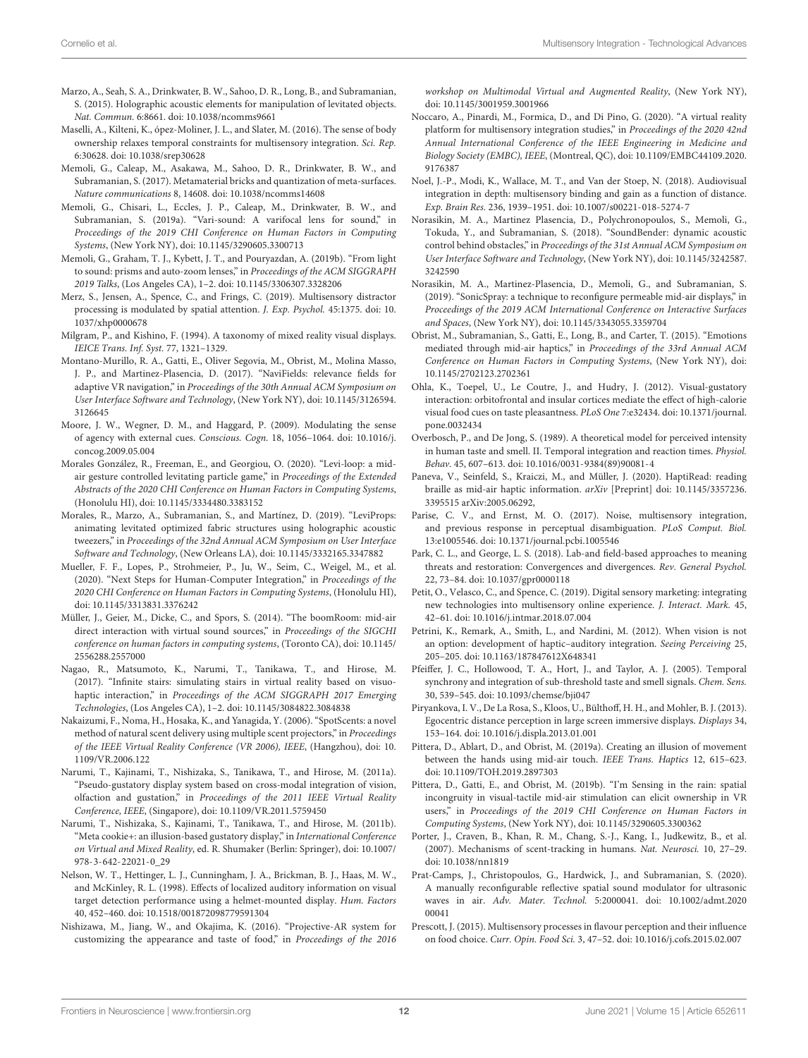- <span id="page-11-19"></span>Marzo, A., Seah, S. A., Drinkwater, B. W., Sahoo, D. R., Long, B., and Subramanian, S. (2015). Holographic acoustic elements for manipulation of levitated objects. Nat. Commun. 6:8661. [doi: 10.1038/ncomms9661](https://doi.org/10.1038/ncomms9661)
- <span id="page-11-18"></span>Maselli, A., Kilteni, K., ópez-Moliner, J. L., and Slater, M. (2016). The sense of body ownership relaxes temporal constraints for multisensory integration. Sci. Rep. 6:30628. [doi: 10.1038/srep30628](https://doi.org/10.1038/srep30628)
- <span id="page-11-14"></span>Memoli, G., Caleap, M., Asakawa, M., Sahoo, D. R., Drinkwater, B. W., and Subramanian, S. (2017). Metamaterial bricks and quantization of meta-surfaces. Nature communications 8, 14608. [doi: 10.1038/ncomms14608](https://doi.org/10.1038/ncomms14608)
- <span id="page-11-15"></span>Memoli, G., Chisari, L., Eccles, J. P., Caleap, M., Drinkwater, B. W., and Subramanian, S. (2019a). "Vari-sound: A varifocal lens for sound," in Proceedings of the 2019 CHI Conference on Human Factors in Computing Systems, (New York NY), [doi: 10.1145/3290605.3300713](https://doi.org/10.1145/3290605.3300713)
- <span id="page-11-13"></span>Memoli, G., Graham, T. J., Kybett, J. T., and Pouryazdan, A. (2019b). "From light to sound: prisms and auto-zoom lenses," in Proceedings of the ACM SIGGRAPH 2019 Talks, (Los Angeles CA), 1–2. [doi: 10.1145/3306307.3328206](https://doi.org/10.1145/3306307.3328206)
- <span id="page-11-7"></span>Merz, S., Jensen, A., Spence, C., and Frings, C. (2019). Multisensory distractor processing is modulated by spatial attention. J. Exp. Psychol. 45:1375. [doi: 10.](https://doi.org/10.1037/xhp0000678) [1037/xhp0000678](https://doi.org/10.1037/xhp0000678)
- <span id="page-11-36"></span>Milgram, P., and Kishino, F. (1994). A taxonomy of mixed reality visual displays. IEICE Trans. Inf. Syst. 77, 1321–1329.
- <span id="page-11-10"></span>Montano-Murillo, R. A., Gatti, E., Oliver Segovia, M., Obrist, M., Molina Masso, J. P., and Martinez-Plasencia, D. (2017). "NaviFields: relevance fields for adaptive VR navigation," in Proceedings of the 30th Annual ACM Symposium on User Interface Software and Technology, (New York NY), [doi: 10.1145/3126594.](https://doi.org/10.1145/3126594.3126645) [3126645](https://doi.org/10.1145/3126594.3126645)
- <span id="page-11-37"></span>Moore, J. W., Wegner, D. M., and Haggard, P. (2009). Modulating the sense of agency with external cues. Conscious. Cogn. 18, 1056–1064. [doi: 10.1016/j.](https://doi.org/10.1016/j.concog.2009.05.004) [concog.2009.05.004](https://doi.org/10.1016/j.concog.2009.05.004)
- <span id="page-11-9"></span>Morales González, R., Freeman, E., and Georgiou, O. (2020). "Levi-loop: a midair gesture controlled levitating particle game," in Proceedings of the Extended Abstracts of the 2020 CHI Conference on Human Factors in Computing Systems, (Honolulu HI), [doi: 10.1145/3334480.3383152](https://doi.org/10.1145/3334480.3383152)
- <span id="page-11-8"></span>Morales, R., Marzo, A., Subramanian, S., and Martínez, D. (2019). "LeviProps: animating levitated optimized fabric structures using holographic acoustic tweezers," in Proceedings of the 32nd Annual ACM Symposium on User Interface Software and Technology, (New Orleans LA), [doi: 10.1145/3332165.3347882](https://doi.org/10.1145/3332165.3347882)
- <span id="page-11-29"></span>Mueller, F. F., Lopes, P., Strohmeier, P., Ju, W., Seim, C., Weigel, M., et al. (2020). "Next Steps for Human-Computer Integration," in Proceedings of the 2020 CHI Conference on Human Factors in Computing Systems, (Honolulu HI), [doi: 10.1145/3313831.3376242](https://doi.org/10.1145/3313831.3376242)
- <span id="page-11-17"></span>Müller, J., Geier, M., Dicke, C., and Spors, S. (2014). "The boomRoom: mid-air direct interaction with virtual sound sources," in Proceedings of the SIGCHI conference on human factors in computing systems, (Toronto CA), [doi: 10.1145/](https://doi.org/10.1145/2556288.2557000) [2556288.2557000](https://doi.org/10.1145/2556288.2557000)
- <span id="page-11-11"></span>Nagao, R., Matsumoto, K., Narumi, T., Tanikawa, T., and Hirose, M. (2017). "Infinite stairs: simulating stairs in virtual reality based on visuohaptic interaction," in Proceedings of the ACM SIGGRAPH 2017 Emerging Technologies, (Los Angeles CA), 1–2. [doi: 10.1145/3084822.3084838](https://doi.org/10.1145/3084822.3084838)
- <span id="page-11-28"></span>Nakaizumi, F., Noma, H., Hosaka, K., and Yanagida, Y. (2006). "SpotScents: a novel method of natural scent delivery using multiple scent projectors," in Proceedings of the IEEE Virtual Reality Conference (VR 2006), IEEE, (Hangzhou), [doi: 10.](https://doi.org/10.1109/VR.2006.122) [1109/VR.2006.122](https://doi.org/10.1109/VR.2006.122)
- <span id="page-11-35"></span>Narumi, T., Kajinami, T., Nishizaka, S., Tanikawa, T., and Hirose, M. (2011a). "Pseudo-gustatory display system based on cross-modal integration of vision, olfaction and gustation," in Proceedings of the 2011 IEEE Virtual Reality Conference, IEEE, (Singapore), [doi: 10.1109/VR.2011.5759450](https://doi.org/10.1109/VR.2011.5759450)
- <span id="page-11-33"></span>Narumi, T., Nishizaka, S., Kajinami, T., Tanikawa, T., and Hirose, M. (2011b). "Meta cookie+: an illusion-based gustatory display," in International Conference on Virtual and Mixed Reality, ed. R. Shumaker (Berlin: Springer), [doi: 10.1007/](https://doi.org/10.1007/978-3-642-22021-0_29) [978-3-642-22021-0\\_29](https://doi.org/10.1007/978-3-642-22021-0_29)
- <span id="page-11-0"></span>Nelson, W. T., Hettinger, L. J., Cunningham, J. A., Brickman, B. J., Haas, M. W., and McKinley, R. L. (1998). Effects of localized auditory information on visual target detection performance using a helmet-mounted display. Hum. Factors 40, 452–460. [doi: 10.1518/001872098779591304](https://doi.org/10.1518/001872098779591304)
- <span id="page-11-34"></span>Nishizawa, M., Jiang, W., and Okajima, K. (2016). "Projective-AR system for customizing the appearance and taste of food," in Proceedings of the 2016

workshop on Multimodal Virtual and Augmented Reality, (New York NY), [doi: 10.1145/3001959.3001966](https://doi.org/10.1145/3001959.3001966)

- <span id="page-11-4"></span>Noccaro, A., Pinardi, M., Formica, D., and Di Pino, G. (2020). "A virtual reality platform for multisensory integration studies," in Proceedings of the 2020 42nd Annual International Conference of the IEEE Engineering in Medicine and Biology Society (EMBC), IEEE, (Montreal, QC), [doi: 10.1109/EMBC44109.2020.](https://doi.org/10.1109/EMBC44109.2020.9176387) [9176387](https://doi.org/10.1109/EMBC44109.2020.9176387)
- <span id="page-11-1"></span>Noel, J.-P., Modi, K., Wallace, M. T., and Van der Stoep, N. (2018). Audiovisual integration in depth: multisensory binding and gain as a function of distance. Exp. Brain Res. 236, 1939–1951. [doi: 10.1007/s00221-018-5274-7](https://doi.org/10.1007/s00221-018-5274-7)
- <span id="page-11-3"></span>Norasikin, M. A., Martinez Plasencia, D., Polychronopoulos, S., Memoli, G., Tokuda, Y., and Subramanian, S. (2018). "SoundBender: dynamic acoustic control behind obstacles," in Proceedings of the 31st Annual ACM Symposium on User Interface Software and Technology, (New York NY), [doi: 10.1145/3242587.](https://doi.org/10.1145/3242587.3242590) [3242590](https://doi.org/10.1145/3242587.3242590)
- <span id="page-11-6"></span>Norasikin, M. A., Martinez-Plasencia, D., Memoli, G., and Subramanian, S. (2019). "SonicSpray: a technique to reconfigure permeable mid-air displays," in Proceedings of the 2019 ACM International Conference on Interactive Surfaces and Spaces, (New York NY), [doi: 10.1145/3343055.3359704](https://doi.org/10.1145/3343055.3359704)
- <span id="page-11-21"></span>Obrist, M., Subramanian, S., Gatti, E., Long, B., and Carter, T. (2015). "Emotions mediated through mid-air haptics," in Proceedings of the 33rd Annual ACM Conference on Human Factors in Computing Systems, (New York NY), [doi:](https://doi.org/10.1145/2702123.2702361) [10.1145/2702123.2702361](https://doi.org/10.1145/2702123.2702361)
- <span id="page-11-31"></span>Ohla, K., Toepel, U., Le Coutre, J., and Hudry, J. (2012). Visual-gustatory interaction: orbitofrontal and insular cortices mediate the effect of high-calorie visual food cues on taste pleasantness. PLoS One 7:e32434. [doi: 10.1371/journal.](https://doi.org/10.1371/journal.pone.0032434) [pone.0032434](https://doi.org/10.1371/journal.pone.0032434)
- <span id="page-11-32"></span>Overbosch, P., and De Jong, S. (1989). A theoretical model for perceived intensity in human taste and smell. II. Temporal integration and reaction times. Physiol. Behav. 45, 607–613. [doi: 10.1016/0031-9384\(89\)90081-4](https://doi.org/10.1016/0031-9384(89)90081-4)
- <span id="page-11-20"></span>Paneva, V., Seinfeld, S., Kraiczi, M., and Müller, J. (2020). HaptiRead: reading braille as mid-air haptic information. arXiv [Preprint] [doi: 10.1145/3357236.](https://doi.org/10.1145/3357236.3395515) [3395515](https://doi.org/10.1145/3357236.3395515) arXiv:2005.06292,
- <span id="page-11-2"></span>Parise, C. V., and Ernst, M. O. (2017). Noise, multisensory integration, and previous response in perceptual disambiguation. PLoS Comput. Biol. 13:e1005546. [doi: 10.1371/journal.pcbi.1005546](https://doi.org/10.1371/journal.pcbi.1005546)
- <span id="page-11-27"></span>Park, C. L., and George, L. S. (2018). Lab-and field-based approaches to meaning threats and restoration: Convergences and divergences. Rev. General Psychol. 22, 73–84. [doi: 10.1037/gpr0000118](https://doi.org/10.1037/gpr0000118)
- <span id="page-11-22"></span>Petit, O., Velasco, C., and Spence, C. (2019). Digital sensory marketing: integrating new technologies into multisensory online experience. J. Interact. Mark. 45, 42–61. [doi: 10.1016/j.intmar.2018.07.004](https://doi.org/10.1016/j.intmar.2018.07.004)
- <span id="page-11-16"></span>Petrini, K., Remark, A., Smith, L., and Nardini, M. (2012). When vision is not an option: development of haptic–auditory integration. Seeing Perceiving 25, 205–205. [doi: 10.1163/187847612X648341](https://doi.org/10.1163/187847612X648341)
- <span id="page-11-26"></span>Pfeiffer, J. C., Hollowood, T. A., Hort, J., and Taylor, A. J. (2005). Temporal synchrony and integration of sub-threshold taste and smell signals. Chem. Sens. 30, 539–545. [doi: 10.1093/chemse/bji047](https://doi.org/10.1093/chemse/bji047)
- <span id="page-11-5"></span>Piryankova, I. V., De La Rosa, S., Kloos, U., Bülthoff, H. H., and Mohler, B. J. (2013). Egocentric distance perception in large screen immersive displays. Displays 34, 153–164. [doi: 10.1016/j.displa.2013.01.001](https://doi.org/10.1016/j.displa.2013.01.001)
- <span id="page-11-24"></span>Pittera, D., Ablart, D., and Obrist, M. (2019a). Creating an illusion of movement between the hands using mid-air touch. IEEE Trans. Haptics 12, 615–623. [doi: 10.1109/TOH.2019.2897303](https://doi.org/10.1109/TOH.2019.2897303)
- <span id="page-11-23"></span>Pittera, D., Gatti, E., and Obrist, M. (2019b). "I'm Sensing in the rain: spatial incongruity in visual-tactile mid-air stimulation can elicit ownership in VR users," in Proceedings of the 2019 CHI Conference on Human Factors in Computing Systems, (New York NY), [doi: 10.1145/3290605.3300362](https://doi.org/10.1145/3290605.3300362)
- <span id="page-11-25"></span>Porter, J., Craven, B., Khan, R. M., Chang, S.-J., Kang, I., Judkewitz, B., et al. (2007). Mechanisms of scent-tracking in humans. Nat. Neurosci. 10, 27–29. [doi: 10.1038/nn1819](https://doi.org/10.1038/nn1819)
- <span id="page-11-12"></span>Prat-Camps, J., Christopoulos, G., Hardwick, J., and Subramanian, S. (2020). A manually reconfigurable reflective spatial sound modulator for ultrasonic waves in air. Adv. Mater. Technol. 5:2000041. [doi: 10.1002/admt.2020](https://doi.org/10.1002/admt.202000041) [00041](https://doi.org/10.1002/admt.202000041)
- <span id="page-11-30"></span>Prescott, J. (2015). Multisensory processes in flavour perception and their influence on food choice. Curr. Opin. Food Sci. 3, 47–52. [doi: 10.1016/j.cofs.2015.02.007](https://doi.org/10.1016/j.cofs.2015.02.007)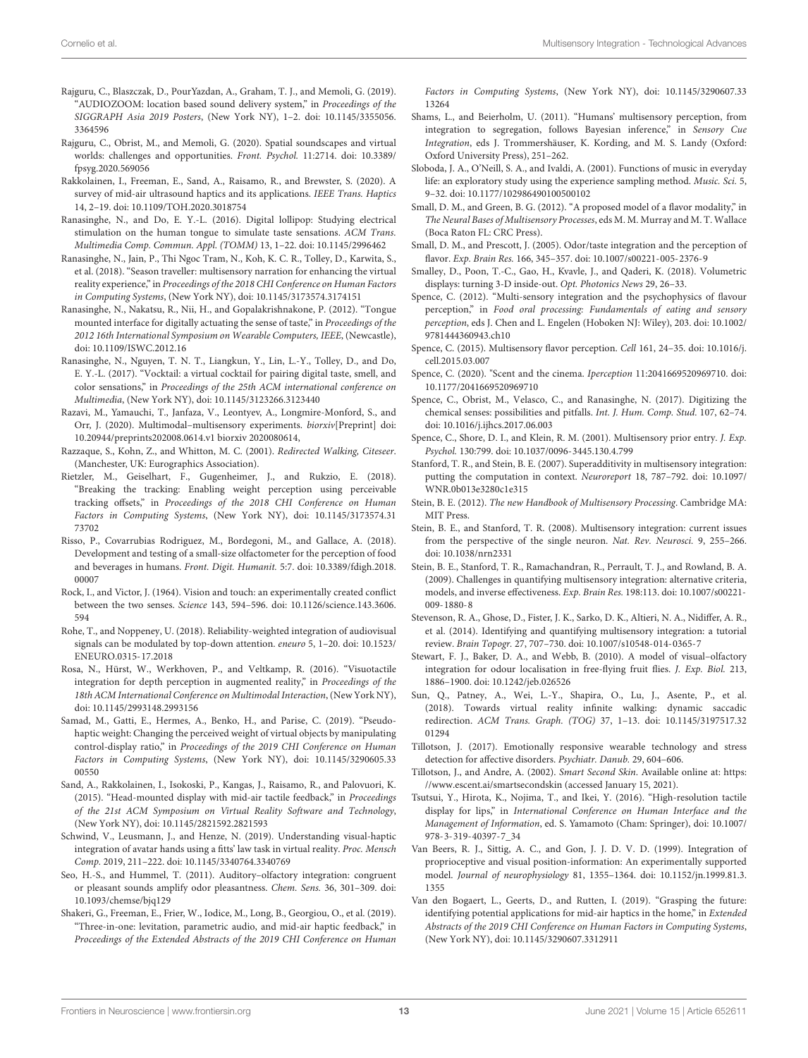- <span id="page-12-18"></span>Rajguru, C., Blaszczak, D., PourYazdan, A., Graham, T. J., and Memoli, G. (2019). "AUDIOZOOM: location based sound delivery system," in Proceedings of the SIGGRAPH Asia 2019 Posters, (New York NY), 1–2. [doi: 10.1145/3355056.](https://doi.org/10.1145/3355056.3364596) [3364596](https://doi.org/10.1145/3355056.3364596)
- <span id="page-12-19"></span>Rajguru, C., Obrist, M., and Memoli, G. (2020). Spatial soundscapes and virtual worlds: challenges and opportunities. Front. Psychol. 11:2714. [doi: 10.3389/](https://doi.org/10.3389/fpsyg.2020.569056) [fpsyg.2020.569056](https://doi.org/10.3389/fpsyg.2020.569056)
- <span id="page-12-21"></span>Rakkolainen, I., Freeman, E., Sand, A., Raisamo, R., and Brewster, S. (2020). A survey of mid-air ultrasound haptics and its applications. IEEE Trans. Haptics 14, 2–19. [doi: 10.1109/TOH.2020.3018754](https://doi.org/10.1109/TOH.2020.3018754)
- <span id="page-12-34"></span>Ranasinghe, N., and Do, E. Y.-L. (2016). Digital lollipop: Studying electrical stimulation on the human tongue to simulate taste sensations. ACM Trans. Multimedia Comp. Commun. Appl. (TOMM) 13, 1–22. [doi: 10.1145/2996462](https://doi.org/10.1145/2996462)
- <span id="page-12-17"></span>Ranasinghe, N., Jain, P., Thi Ngoc Tram, N., Koh, K. C. R., Tolley, D., Karwita, S., et al. (2018). "Season traveller: multisensory narration for enhancing the virtual reality experience," in Proceedings of the 2018 CHI Conference on Human Factors in Computing Systems, (New York NY), [doi: 10.1145/3173574.3174151](https://doi.org/10.1145/3173574.3174151)
- <span id="page-12-35"></span>Ranasinghe, N., Nakatsu, R., Nii, H., and Gopalakrishnakone, P. (2012). "Tongue mounted interface for digitally actuating the sense of taste," in Proceedings of the 2012 16th International Symposium on Wearable Computers, IEEE, (Newcastle), [doi: 10.1109/ISWC.2012.16](https://doi.org/10.1109/ISWC.2012.16)
- <span id="page-12-36"></span>Ranasinghe, N., Nguyen, T. N. T., Liangkun, Y., Lin, L.-Y., Tolley, D., and Do, E. Y.-L. (2017). "Vocktail: a virtual cocktail for pairing digital taste, smell, and color sensations," in Proceedings of the 25th ACM international conference on Multimedia, (New York NY), [doi: 10.1145/3123266.3123440](https://doi.org/10.1145/3123266.3123440)
- <span id="page-12-7"></span>Razavi, M., Yamauchi, T., Janfaza, V., Leontyev, A., Longmire-Monford, S., and Orr, J. (2020). Multimodal–multisensory experiments. biorxiv[Preprint] [doi:](https://doi.org/10.20944/preprints202008.0614.v1) [10.20944/preprints202008.0614.v1](https://doi.org/10.20944/preprints202008.0614.v1) biorxiv 2020080614,
- <span id="page-12-14"></span>Razzaque, S., Kohn, Z., and Whitton, M. C. (2001). Redirected Walking, Citeseer. (Manchester, UK: Eurographics Association).
- <span id="page-12-12"></span>Rietzler, M., Geiselhart, F., Gugenheimer, J., and Rukzio, E. (2018). "Breaking the tracking: Enabling weight perception using perceivable tracking offsets," in Proceedings of the 2018 CHI Conference on Human Factors in Computing Systems, (New York NY), [doi: 10.1145/3173574.31](https://doi.org/10.1145/3173574.3173702) [73702](https://doi.org/10.1145/3173574.3173702)
- <span id="page-12-30"></span>Risso, P., Covarrubias Rodriguez, M., Bordegoni, M., and Gallace, A. (2018). Development and testing of a small-size olfactometer for the perception of food and beverages in humans. Front. Digit. Humanit. 5:7. [doi: 10.3389/fdigh.2018.](https://doi.org/10.3389/fdigh.2018.00007) [00007](https://doi.org/10.3389/fdigh.2018.00007)
- <span id="page-12-11"></span>Rock, I., and Victor, J. (1964). Vision and touch: an experimentally created conflict between the two senses. Science 143, 594–596. [doi: 10.1126/science.143.3606.](https://doi.org/10.1126/science.143.3606.594) [594](https://doi.org/10.1126/science.143.3606.594)
- <span id="page-12-8"></span>Rohe, T., and Noppeney, U. (2018). Reliability-weighted integration of audiovisual signals can be modulated by top-down attention. eneuro 5, 1–20. [doi: 10.1523/](https://doi.org/10.1523/ENEURO.0315-17.2018) [ENEURO.0315-17.2018](https://doi.org/10.1523/ENEURO.0315-17.2018)
- <span id="page-12-9"></span>Rosa, N., Hürst, W., Werkhoven, P., and Veltkamp, R. (2016). "Visuotactile integration for depth perception in augmented reality," in Proceedings of the 18th ACM International Conference on Multimodal Interaction, (New York NY), [doi: 10.1145/2993148.2993156](https://doi.org/10.1145/2993148.2993156)
- <span id="page-12-13"></span>Samad, M., Gatti, E., Hermes, A., Benko, H., and Parise, C. (2019). "Pseudohaptic weight: Changing the perceived weight of virtual objects by manipulating control-display ratio," in Proceedings of the 2019 CHI Conference on Human Factors in Computing Systems, (New York NY), [doi: 10.1145/3290605.33](https://doi.org/10.1145/3290605.3300550) [00550](https://doi.org/10.1145/3290605.3300550)
- <span id="page-12-22"></span>Sand, A., Rakkolainen, I., Isokoski, P., Kangas, J., Raisamo, R., and Palovuori, K. (2015). "Head-mounted display with mid-air tactile feedback," in Proceedings of the 21st ACM Symposium on Virtual Reality Software and Technology, (New York NY), [doi: 10.1145/2821592.2821593](https://doi.org/10.1145/2821592.2821593)
- <span id="page-12-20"></span>Schwind, V., Leusmann, J., and Henze, N. (2019). Understanding visual-haptic integration of avatar hands using a fitts' law task in virtual reality. Proc. Mensch Comp. 2019, 211–222. [doi: 10.1145/3340764.3340769](https://doi.org/10.1145/3340764.3340769)
- <span id="page-12-26"></span>Seo, H.-S., and Hummel, T. (2011). Auditory–olfactory integration: congruent or pleasant sounds amplify odor pleasantness. Chem. Sens. 36, 301–309. [doi:](https://doi.org/10.1093/chemse/bjq129) [10.1093/chemse/bjq129](https://doi.org/10.1093/chemse/bjq129)
- <span id="page-12-24"></span>Shakeri, G., Freeman, E., Frier, W., Iodice, M., Long, B., Georgiou, O., et al. (2019). "Three-in-one: levitation, parametric audio, and mid-air haptic feedback," in Proceedings of the Extended Abstracts of the 2019 CHI Conference on Human

Factors in Computing Systems, (New York NY), [doi: 10.1145/3290607.33](https://doi.org/10.1145/3290607.3313264) [13264](https://doi.org/10.1145/3290607.3313264)

- <span id="page-12-0"></span>Shams, L., and Beierholm, U. (2011). "Humans' multisensory perception, from integration to segregation, follows Bayesian inference," in Sensory Cue Integration, eds J. Trommershäuser, K. Kording, and M. S. Landy (Oxford: Oxford University Press), 251–262.
- <span id="page-12-31"></span>Sloboda, J. A., O'Neill, S. A., and Ivaldi, A. (2001). Functions of music in everyday life: an exploratory study using the experience sampling method. Music. Sci. 5, 9–32. [doi: 10.1177/102986490100500102](https://doi.org/10.1177/102986490100500102)
- <span id="page-12-39"></span>Small, D. M., and Green, B. G. (2012). "A proposed model of a flavor modality," in The Neural Bases of Multisensory Processes, eds M. M. Murray and M. T. Wallace (Boca Raton FL: CRC Press).
- <span id="page-12-27"></span>Small, D. M., and Prescott, J. (2005). Odor/taste integration and the perception of flavor. Exp. Brain Res. 166, 345–357. [doi: 10.1007/s00221-005-2376-9](https://doi.org/10.1007/s00221-005-2376-9)
- <span id="page-12-10"></span>Smalley, D., Poon, T.-C., Gao, H., Kvavle, J., and Qaderi, K. (2018). Volumetric displays: turning 3-D inside-out. Opt. Photonics News 29, 26–33.
- <span id="page-12-29"></span>Spence, C. (2012). "Multi-sensory integration and the psychophysics of flavour perception," in Food oral processing: Fundamentals of eating and sensory perception, eds J. Chen and L. Engelen (Hoboken NJ: Wiley), 203. [doi: 10.1002/](https://doi.org/10.1002/9781444360943.ch10) [9781444360943.ch10](https://doi.org/10.1002/9781444360943.ch10)
- <span id="page-12-40"></span>Spence, C. (2015). Multisensory flavor perception. Cell 161, 24–35. [doi: 10.1016/j.](https://doi.org/10.1016/j.cell.2015.03.007) [cell.2015.03.007](https://doi.org/10.1016/j.cell.2015.03.007)
- <span id="page-12-25"></span>Spence, C. (2020). "Scent and the cinema. Iperception 11:2041669520969710. [doi:](https://doi.org/10.1177/2041669520969710) [10.1177/2041669520969710](https://doi.org/10.1177/2041669520969710)
- <span id="page-12-38"></span>Spence, C., Obrist, M., Velasco, C., and Ranasinghe, N. (2017). Digitizing the chemical senses: possibilities and pitfalls. Int. J. Hum. Comp. Stud. 107, 62–74. [doi: 10.1016/j.ijhcs.2017.06.003](https://doi.org/10.1016/j.ijhcs.2017.06.003)
- <span id="page-12-4"></span>Spence, C., Shore, D. I., and Klein, R. M. (2001). Multisensory prior entry. J. Exp. Psychol. 130:799. [doi: 10.1037/0096-3445.130.4.799](https://doi.org/10.1037/0096-3445.130.4.799)
- <span id="page-12-5"></span>Stanford, T. R., and Stein, B. E. (2007). Superadditivity in multisensory integration: putting the computation in context. Neuroreport 18, 787–792. [doi: 10.1097/](https://doi.org/10.1097/WNR.0b013e3280c1e315) [WNR.0b013e3280c1e315](https://doi.org/10.1097/WNR.0b013e3280c1e315)
- <span id="page-12-1"></span>Stein, B. E. (2012). The new Handbook of Multisensory Processing. Cambridge MA: MIT Press.
- <span id="page-12-6"></span>Stein, B. E., and Stanford, T. R. (2008). Multisensory integration: current issues from the perspective of the single neuron. Nat. Rev. Neurosci. 9, 255–266. [doi: 10.1038/nrn2331](https://doi.org/10.1038/nrn2331)
- <span id="page-12-3"></span>Stein, B. E., Stanford, T. R., Ramachandran, R., Perrault, T. J., and Rowland, B. A. (2009). Challenges in quantifying multisensory integration: alternative criteria, models, and inverse effectiveness. Exp. Brain Res. 198:113. [doi: 10.1007/s00221-](https://doi.org/10.1007/s00221-009-1880-8) [009-1880-8](https://doi.org/10.1007/s00221-009-1880-8)
- <span id="page-12-2"></span>Stevenson, R. A., Ghose, D., Fister, J. K., Sarko, D. K., Altieri, N. A., Nidiffer, A. R., et al. (2014). Identifying and quantifying multisensory integration: a tutorial review. Brain Topogr. 27, 707–730. [doi: 10.1007/s10548-014-0365-7](https://doi.org/10.1007/s10548-014-0365-7)
- <span id="page-12-28"></span>Stewart, F. J., Baker, D. A., and Webb, B. (2010). A model of visual–olfactory integration for odour localisation in free-flying fruit flies. J. Exp. Biol. 213, 1886–1900. [doi: 10.1242/jeb.026526](https://doi.org/10.1242/jeb.026526)
- <span id="page-12-15"></span>Sun, Q., Patney, A., Wei, L.-Y., Shapira, O., Lu, J., Asente, P., et al. (2018). Towards virtual reality infinite walking: dynamic saccadic redirection. ACM Trans. Graph. (TOG) 37, 1–13. [doi: 10.1145/3197517.32](https://doi.org/10.1145/3197517.3201294) [01294](https://doi.org/10.1145/3197517.3201294)
- <span id="page-12-33"></span>Tillotson, J. (2017). Emotionally responsive wearable technology and stress detection for affective disorders. Psychiatr. Danub. 29, 604–606.
- <span id="page-12-32"></span>Tillotson, J., and Andre, A. (2002). Smart Second Skin. Available online at: [https:](https://www.escent.ai/smartsecondskin) [//www.escent.ai/smartsecondskin](https://www.escent.ai/smartsecondskin) (accessed January 15, 2021).
- <span id="page-12-37"></span>Tsutsui, Y., Hirota, K., Nojima, T., and Ikei, Y. (2016). "High-resolution tactile display for lips," in International Conference on Human Interface and the Management of Information, ed. S. Yamamoto (Cham: Springer), [doi: 10.1007/](https://doi.org/10.1007/978-3-319-40397-7_34) [978-3-319-40397-7\\_34](https://doi.org/10.1007/978-3-319-40397-7_34)
- <span id="page-12-16"></span>Van Beers, R. J., Sittig, A. C., and Gon, J. J. D. V. D. (1999). Integration of proprioceptive and visual position-information: An experimentally supported model. Journal of neurophysiology 81, 1355–1364. [doi: 10.1152/jn.1999.81.3.](https://doi.org/10.1152/jn.1999.81.3.1355) [1355](https://doi.org/10.1152/jn.1999.81.3.1355)
- <span id="page-12-23"></span>Van den Bogaert, L., Geerts, D., and Rutten, I. (2019). "Grasping the future: identifying potential applications for mid-air haptics in the home," in Extended Abstracts of the 2019 CHI Conference on Human Factors in Computing Systems, (New York NY), [doi: 10.1145/3290607.3312911](https://doi.org/10.1145/3290607.3312911)